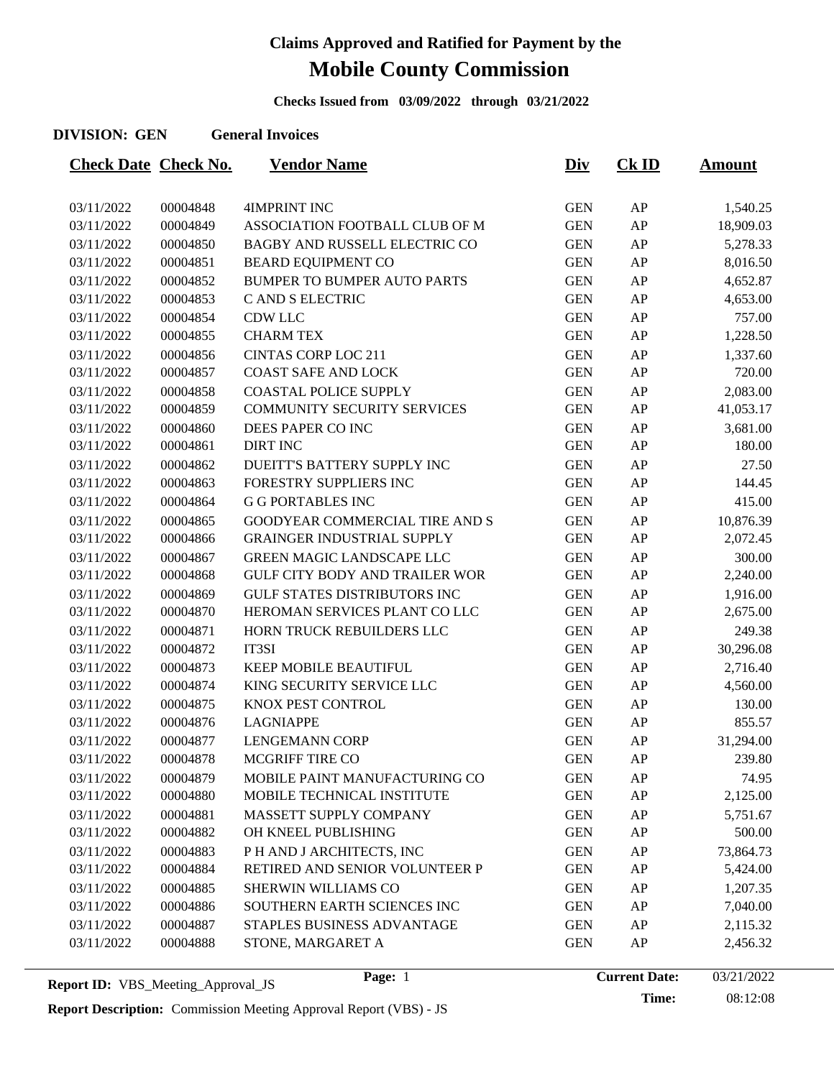**Checks Issued from 03/09/2022 through 03/21/2022**

### **DIVISION: GEN General Invoices**

| <b>Check Date Check No.</b> |          | <b>Vendor Name</b>                    | <u>Div</u> | $CK$ ID | <u>Amount</u> |
|-----------------------------|----------|---------------------------------------|------------|---------|---------------|
|                             |          |                                       |            |         |               |
| 03/11/2022                  | 00004848 | <b>4IMPRINT INC</b>                   | <b>GEN</b> | AP      | 1,540.25      |
| 03/11/2022                  | 00004849 | ASSOCIATION FOOTBALL CLUB OF M        | <b>GEN</b> | AP      | 18,909.03     |
| 03/11/2022                  | 00004850 | BAGBY AND RUSSELL ELECTRIC CO         | <b>GEN</b> | AP      | 5,278.33      |
| 03/11/2022                  | 00004851 | <b>BEARD EQUIPMENT CO</b>             | <b>GEN</b> | AP      | 8,016.50      |
| 03/11/2022                  | 00004852 | <b>BUMPER TO BUMPER AUTO PARTS</b>    | <b>GEN</b> | AP      | 4,652.87      |
| 03/11/2022                  | 00004853 | C AND S ELECTRIC                      | <b>GEN</b> | AP      | 4,653.00      |
| 03/11/2022                  | 00004854 | <b>CDW LLC</b>                        | <b>GEN</b> | AP      | 757.00        |
| 03/11/2022                  | 00004855 | <b>CHARM TEX</b>                      | <b>GEN</b> | AP      | 1,228.50      |
| 03/11/2022                  | 00004856 | <b>CINTAS CORP LOC 211</b>            | <b>GEN</b> | AP      | 1,337.60      |
| 03/11/2022                  | 00004857 | <b>COAST SAFE AND LOCK</b>            | <b>GEN</b> | AP      | 720.00        |
| 03/11/2022                  | 00004858 | <b>COASTAL POLICE SUPPLY</b>          | <b>GEN</b> | AP      | 2,083.00      |
| 03/11/2022                  | 00004859 | COMMUNITY SECURITY SERVICES           | <b>GEN</b> | AP      | 41,053.17     |
| 03/11/2022                  | 00004860 | DEES PAPER CO INC                     | <b>GEN</b> | AP      | 3,681.00      |
| 03/11/2022                  | 00004861 | <b>DIRT INC</b>                       | <b>GEN</b> | AP      | 180.00        |
| 03/11/2022                  | 00004862 | DUEITT'S BATTERY SUPPLY INC           | <b>GEN</b> | AP      | 27.50         |
| 03/11/2022                  | 00004863 | FORESTRY SUPPLIERS INC                | <b>GEN</b> | AP      | 144.45        |
| 03/11/2022                  | 00004864 | <b>G G PORTABLES INC</b>              | <b>GEN</b> | AP      | 415.00        |
| 03/11/2022                  | 00004865 | GOODYEAR COMMERCIAL TIRE AND S        | <b>GEN</b> | AP      | 10,876.39     |
| 03/11/2022                  | 00004866 | <b>GRAINGER INDUSTRIAL SUPPLY</b>     | <b>GEN</b> | AP      | 2,072.45      |
| 03/11/2022                  | 00004867 | <b>GREEN MAGIC LANDSCAPE LLC</b>      | <b>GEN</b> | AP      | 300.00        |
| 03/11/2022                  | 00004868 | <b>GULF CITY BODY AND TRAILER WOR</b> | <b>GEN</b> | AP      | 2,240.00      |
| 03/11/2022                  | 00004869 | <b>GULF STATES DISTRIBUTORS INC</b>   | <b>GEN</b> | AP      | 1,916.00      |
| 03/11/2022                  | 00004870 | HEROMAN SERVICES PLANT CO LLC         | <b>GEN</b> | AP      | 2,675.00      |
| 03/11/2022                  | 00004871 | HORN TRUCK REBUILDERS LLC             | <b>GEN</b> | AP      | 249.38        |
| 03/11/2022                  | 00004872 | IT3SI                                 | <b>GEN</b> | AP      | 30,296.08     |
| 03/11/2022                  | 00004873 | <b>KEEP MOBILE BEAUTIFUL</b>          | <b>GEN</b> | AP      | 2,716.40      |
| 03/11/2022                  | 00004874 | KING SECURITY SERVICE LLC             | <b>GEN</b> | AP      | 4,560.00      |
| 03/11/2022                  | 00004875 | KNOX PEST CONTROL                     | <b>GEN</b> | AP      | 130.00        |
| 03/11/2022                  | 00004876 | <b>LAGNIAPPE</b>                      | <b>GEN</b> | AP      | 855.57        |
| 03/11/2022                  | 00004877 | <b>LENGEMANN CORP</b>                 | <b>GEN</b> | AP      | 31,294.00     |
| 03/11/2022                  | 00004878 | MCGRIFF TIRE CO                       | <b>GEN</b> | AP      | 239.80        |
| 03/11/2022                  | 00004879 | MOBILE PAINT MANUFACTURING CO         | <b>GEN</b> | AP      | 74.95         |
| 03/11/2022                  | 00004880 | MOBILE TECHNICAL INSTITUTE            | <b>GEN</b> | AP      | 2,125.00      |
| 03/11/2022                  | 00004881 | MASSETT SUPPLY COMPANY                | <b>GEN</b> | AP      | 5,751.67      |
| 03/11/2022                  | 00004882 | OH KNEEL PUBLISHING                   | <b>GEN</b> | AP      | 500.00        |
| 03/11/2022                  | 00004883 | P H AND J ARCHITECTS, INC             | <b>GEN</b> | AP      | 73,864.73     |
| 03/11/2022                  | 00004884 | RETIRED AND SENIOR VOLUNTEER P        | <b>GEN</b> | AP      | 5,424.00      |
| 03/11/2022                  | 00004885 | SHERWIN WILLIAMS CO                   | <b>GEN</b> | AP      | 1,207.35      |
| 03/11/2022                  | 00004886 | SOUTHERN EARTH SCIENCES INC           | <b>GEN</b> | AP      | 7,040.00      |
| 03/11/2022                  | 00004887 | STAPLES BUSINESS ADVANTAGE            | <b>GEN</b> | AP      | 2,115.32      |
| 03/11/2022                  | 00004888 | STONE, MARGARET A                     | <b>GEN</b> | AP      | 2,456.32      |
|                             |          |                                       |            |         |               |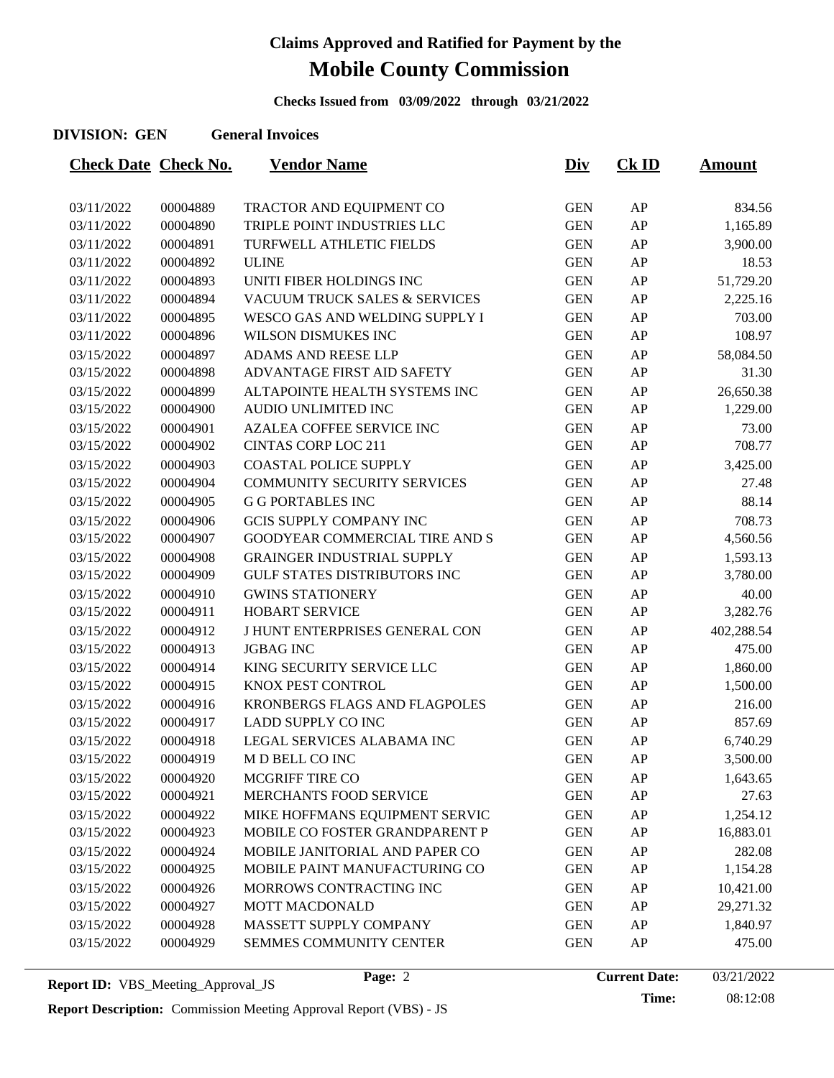**Checks Issued from 03/09/2022 through 03/21/2022**

### **DIVISION: GEN General Invoices**

| <b>Check Date Check No.</b> |          | <b>Vendor Name</b>                  | <u>Div</u> | <b>Ck ID</b> | <b>Amount</b> |
|-----------------------------|----------|-------------------------------------|------------|--------------|---------------|
|                             |          |                                     |            |              |               |
| 03/11/2022                  | 00004889 | TRACTOR AND EQUIPMENT CO            | <b>GEN</b> | AP           | 834.56        |
| 03/11/2022                  | 00004890 | TRIPLE POINT INDUSTRIES LLC         | <b>GEN</b> | AP           | 1,165.89      |
| 03/11/2022                  | 00004891 | TURFWELL ATHLETIC FIELDS            | <b>GEN</b> | AP           | 3,900.00      |
| 03/11/2022                  | 00004892 | <b>ULINE</b>                        | <b>GEN</b> | AP           | 18.53         |
| 03/11/2022                  | 00004893 | UNITI FIBER HOLDINGS INC            | <b>GEN</b> | AP           | 51,729.20     |
| 03/11/2022                  | 00004894 | VACUUM TRUCK SALES & SERVICES       | <b>GEN</b> | AP           | 2,225.16      |
| 03/11/2022                  | 00004895 | WESCO GAS AND WELDING SUPPLY I      | <b>GEN</b> | AP           | 703.00        |
| 03/11/2022                  | 00004896 | WILSON DISMUKES INC                 | <b>GEN</b> | AP           | 108.97        |
| 03/15/2022                  | 00004897 | ADAMS AND REESE LLP                 | <b>GEN</b> | AP           | 58,084.50     |
| 03/15/2022                  | 00004898 | ADVANTAGE FIRST AID SAFETY          | <b>GEN</b> | AP           | 31.30         |
| 03/15/2022                  | 00004899 | ALTAPOINTE HEALTH SYSTEMS INC       | <b>GEN</b> | AP           | 26,650.38     |
| 03/15/2022                  | 00004900 | AUDIO UNLIMITED INC                 | <b>GEN</b> | AP           | 1,229.00      |
| 03/15/2022                  | 00004901 | <b>AZALEA COFFEE SERVICE INC</b>    | <b>GEN</b> | AP           | 73.00         |
| 03/15/2022                  | 00004902 | <b>CINTAS CORP LOC 211</b>          | <b>GEN</b> | AP           | 708.77        |
| 03/15/2022                  | 00004903 | <b>COASTAL POLICE SUPPLY</b>        | <b>GEN</b> | AP           | 3,425.00      |
| 03/15/2022                  | 00004904 | <b>COMMUNITY SECURITY SERVICES</b>  | <b>GEN</b> | AP           | 27.48         |
| 03/15/2022                  | 00004905 | <b>G G PORTABLES INC</b>            | <b>GEN</b> | AP           | 88.14         |
| 03/15/2022                  | 00004906 | <b>GCIS SUPPLY COMPANY INC</b>      | <b>GEN</b> | AP           | 708.73        |
| 03/15/2022                  | 00004907 | GOODYEAR COMMERCIAL TIRE AND S      | <b>GEN</b> | AP           | 4,560.56      |
| 03/15/2022                  | 00004908 | <b>GRAINGER INDUSTRIAL SUPPLY</b>   | <b>GEN</b> | AP           | 1,593.13      |
| 03/15/2022                  | 00004909 | <b>GULF STATES DISTRIBUTORS INC</b> | <b>GEN</b> | AP           | 3,780.00      |
| 03/15/2022                  | 00004910 | <b>GWINS STATIONERY</b>             | <b>GEN</b> | AP           | 40.00         |
| 03/15/2022                  | 00004911 | <b>HOBART SERVICE</b>               | <b>GEN</b> | AP           | 3,282.76      |
| 03/15/2022                  | 00004912 | J HUNT ENTERPRISES GENERAL CON      | <b>GEN</b> | AP           | 402,288.54    |
| 03/15/2022                  | 00004913 | <b>JGBAG INC</b>                    | <b>GEN</b> | AP           | 475.00        |
| 03/15/2022                  | 00004914 | KING SECURITY SERVICE LLC           | <b>GEN</b> | AP           | 1,860.00      |
| 03/15/2022                  | 00004915 | KNOX PEST CONTROL                   | <b>GEN</b> | AP           | 1,500.00      |
| 03/15/2022                  | 00004916 | KRONBERGS FLAGS AND FLAGPOLES       | <b>GEN</b> | AP           | 216.00        |
| 03/15/2022                  | 00004917 | LADD SUPPLY CO INC                  | <b>GEN</b> | AP           | 857.69        |
| 03/15/2022                  | 00004918 | LEGAL SERVICES ALABAMA INC          | <b>GEN</b> | AP           | 6,740.29      |
| 03/15/2022                  | 00004919 | M D BELL CO INC                     | <b>GEN</b> | AP           | 3,500.00      |
| 03/15/2022                  | 00004920 | <b>MCGRIFF TIRE CO</b>              | <b>GEN</b> | AP           | 1,643.65      |
| 03/15/2022                  | 00004921 | MERCHANTS FOOD SERVICE              | <b>GEN</b> | AP           | 27.63         |
| 03/15/2022                  | 00004922 | MIKE HOFFMANS EQUIPMENT SERVIC      | <b>GEN</b> | AP           | 1,254.12      |
| 03/15/2022                  | 00004923 | MOBILE CO FOSTER GRANDPARENT P      | <b>GEN</b> | AP           | 16,883.01     |
| 03/15/2022                  | 00004924 | MOBILE JANITORIAL AND PAPER CO      | <b>GEN</b> | AP           | 282.08        |
| 03/15/2022                  | 00004925 | MOBILE PAINT MANUFACTURING CO       | <b>GEN</b> | AP           | 1,154.28      |
| 03/15/2022                  | 00004926 | MORROWS CONTRACTING INC             | <b>GEN</b> | AP           | 10,421.00     |
| 03/15/2022                  | 00004927 | MOTT MACDONALD                      | <b>GEN</b> | AP           | 29,271.32     |
| 03/15/2022                  | 00004928 | MASSETT SUPPLY COMPANY              | <b>GEN</b> | AP           | 1,840.97      |
| 03/15/2022                  | 00004929 | SEMMES COMMUNITY CENTER             | <b>GEN</b> | AP           | 475.00        |
|                             |          |                                     |            |              |               |

**Report Description:** Commission Meeting Approval Report (VBS) - JS

Page: 2 **Current Date:** 03/21/2022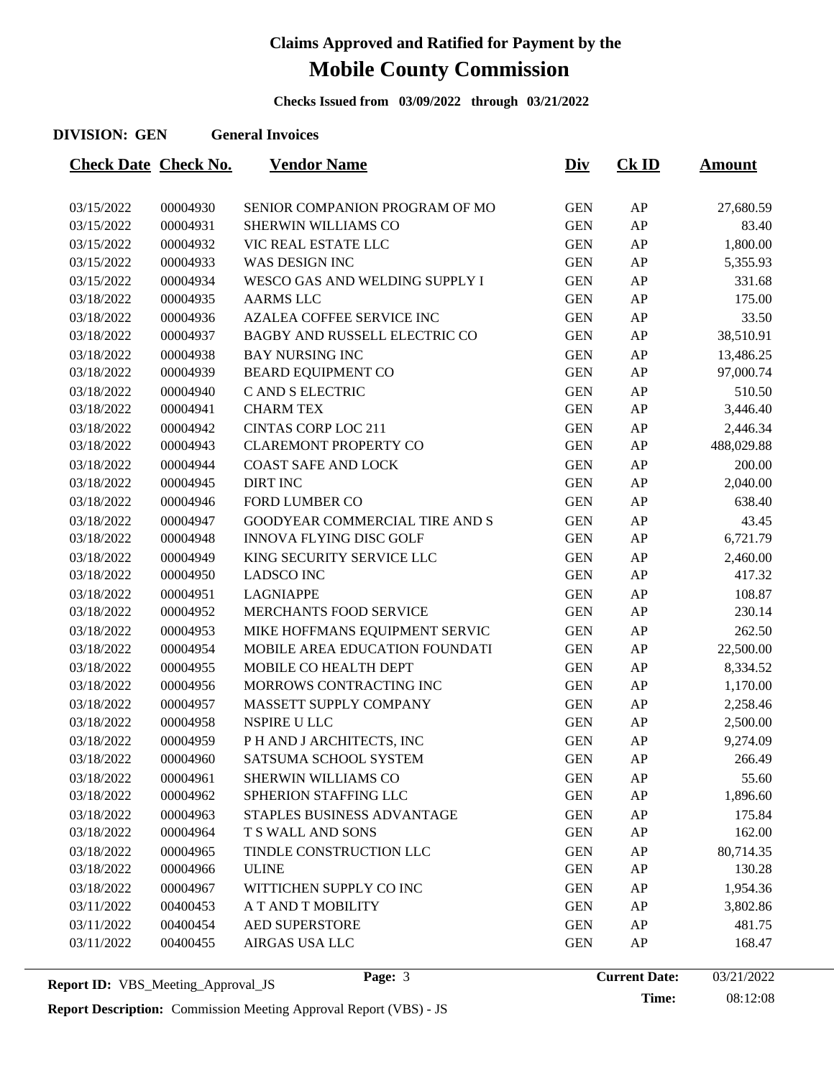**Checks Issued from 03/09/2022 through 03/21/2022**

### **DIVISION: GEN General Invoices**

| <b>Check Date Check No.</b> |                      | <b>Vendor Name</b>               | <u>Div</u> | $CK$ ID  | <u>Amount</u>      |
|-----------------------------|----------------------|----------------------------------|------------|----------|--------------------|
|                             |                      | SENIOR COMPANION PROGRAM OF MO   | <b>GEN</b> |          |                    |
| 03/15/2022<br>03/15/2022    | 00004930<br>00004931 | SHERWIN WILLIAMS CO              | <b>GEN</b> | AP<br>AP | 27,680.59<br>83.40 |
| 03/15/2022                  | 00004932             | VIC REAL ESTATE LLC              | <b>GEN</b> | AP       | 1,800.00           |
| 03/15/2022                  | 00004933             | WAS DESIGN INC                   | <b>GEN</b> | AP       | 5,355.93           |
| 03/15/2022                  |                      | WESCO GAS AND WELDING SUPPLY I   | <b>GEN</b> | AP       |                    |
| 03/18/2022                  | 00004934<br>00004935 | <b>AARMS LLC</b>                 | <b>GEN</b> | AP       | 331.68<br>175.00   |
|                             | 00004936             | <b>AZALEA COFFEE SERVICE INC</b> | <b>GEN</b> | AP       | 33.50              |
| 03/18/2022<br>03/18/2022    | 00004937             | BAGBY AND RUSSELL ELECTRIC CO    | <b>GEN</b> | AP       |                    |
|                             |                      |                                  |            |          | 38,510.91          |
| 03/18/2022                  | 00004938             | <b>BAY NURSING INC</b>           | <b>GEN</b> | AP       | 13,486.25          |
| 03/18/2022                  | 00004939             | <b>BEARD EQUIPMENT CO</b>        | <b>GEN</b> | AP       | 97,000.74          |
| 03/18/2022                  | 00004940             | C AND S ELECTRIC                 | <b>GEN</b> | AP       | 510.50             |
| 03/18/2022                  | 00004941             | <b>CHARM TEX</b>                 | <b>GEN</b> | AP       | 3,446.40           |
| 03/18/2022                  | 00004942             | <b>CINTAS CORP LOC 211</b>       | <b>GEN</b> | AP       | 2,446.34           |
| 03/18/2022                  | 00004943             | <b>CLAREMONT PROPERTY CO</b>     | <b>GEN</b> | AP       | 488,029.88         |
| 03/18/2022                  | 00004944             | <b>COAST SAFE AND LOCK</b>       | <b>GEN</b> | AP       | 200.00             |
| 03/18/2022                  | 00004945             | <b>DIRT INC</b>                  | <b>GEN</b> | AP       | 2,040.00           |
| 03/18/2022                  | 00004946             | <b>FORD LUMBER CO</b>            | <b>GEN</b> | AP       | 638.40             |
| 03/18/2022                  | 00004947             | GOODYEAR COMMERCIAL TIRE AND S   | <b>GEN</b> | AP       | 43.45              |
| 03/18/2022                  | 00004948             | <b>INNOVA FLYING DISC GOLF</b>   | <b>GEN</b> | AP       | 6,721.79           |
| 03/18/2022                  | 00004949             | KING SECURITY SERVICE LLC        | <b>GEN</b> | AP       | 2,460.00           |
| 03/18/2022                  | 00004950             | <b>LADSCO INC</b>                | <b>GEN</b> | AP       | 417.32             |
| 03/18/2022                  | 00004951             | <b>LAGNIAPPE</b>                 | <b>GEN</b> | AP       | 108.87             |
| 03/18/2022                  | 00004952             | MERCHANTS FOOD SERVICE           | <b>GEN</b> | AP       | 230.14             |
| 03/18/2022                  | 00004953             | MIKE HOFFMANS EQUIPMENT SERVIC   | <b>GEN</b> | AP       | 262.50             |
| 03/18/2022                  | 00004954             | MOBILE AREA EDUCATION FOUNDATI   | <b>GEN</b> | AP       | 22,500.00          |
| 03/18/2022                  | 00004955             | MOBILE CO HEALTH DEPT            | <b>GEN</b> | AP       | 8,334.52           |
| 03/18/2022                  | 00004956             | MORROWS CONTRACTING INC          | <b>GEN</b> | AP       | 1,170.00           |
| 03/18/2022                  | 00004957             | MASSETT SUPPLY COMPANY           | <b>GEN</b> | AP       | 2,258.46           |
| 03/18/2022                  | 00004958             | NSPIRE U LLC                     | <b>GEN</b> | AP       | 2,500.00           |
| 03/18/2022                  | 00004959             | P H AND J ARCHITECTS, INC        | <b>GEN</b> | AP       | 9,274.09           |
| 03/18/2022                  | 00004960             | SATSUMA SCHOOL SYSTEM            | <b>GEN</b> | AP       | 266.49             |
| 03/18/2022                  | 00004961             | <b>SHERWIN WILLIAMS CO</b>       | <b>GEN</b> | AP       | 55.60              |
| 03/18/2022                  | 00004962             | SPHERION STAFFING LLC            | <b>GEN</b> | AP       | 1,896.60           |
| 03/18/2022                  | 00004963             | STAPLES BUSINESS ADVANTAGE       | <b>GEN</b> | AP       | 175.84             |
| 03/18/2022                  | 00004964             | T S WALL AND SONS                | <b>GEN</b> | AP       | 162.00             |
| 03/18/2022                  | 00004965             | TINDLE CONSTRUCTION LLC          | <b>GEN</b> | AP       | 80,714.35          |
| 03/18/2022                  | 00004966             | <b>ULINE</b>                     | <b>GEN</b> | AP       | 130.28             |
| 03/18/2022                  | 00004967             | WITTICHEN SUPPLY CO INC          | <b>GEN</b> | AP       | 1,954.36           |
| 03/11/2022                  | 00400453             | A T AND T MOBILITY               | <b>GEN</b> | AP       | 3,802.86           |
| 03/11/2022                  | 00400454             | <b>AED SUPERSTORE</b>            | <b>GEN</b> | AP       | 481.75             |
| 03/11/2022                  | 00400455             | AIRGAS USA LLC                   | <b>GEN</b> | AP       | 168.47             |
|                             |                      |                                  |            |          |                    |

Page: 3 **Current Date:** 03/21/2022

**Time:** 08:12:08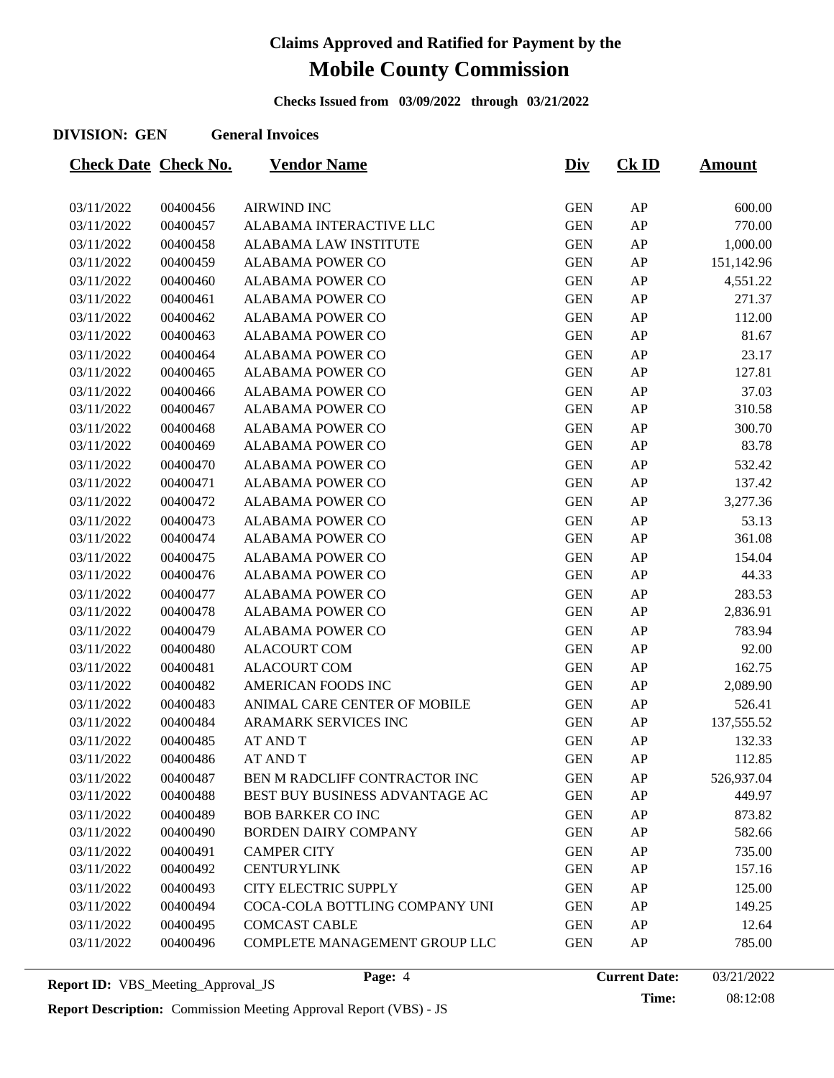**Checks Issued from 03/09/2022 through 03/21/2022**

#### **DIVISION: GEN General Invoices**

| <b>Check Date Check No.</b> |          | <b>Vendor Name</b>             | <u>Div</u> | <u>Ck ID</u> | <b>Amount</b> |
|-----------------------------|----------|--------------------------------|------------|--------------|---------------|
|                             |          |                                |            |              |               |
| 03/11/2022                  | 00400456 | <b>AIRWIND INC</b>             | <b>GEN</b> | AP           | 600.00        |
| 03/11/2022                  | 00400457 | ALABAMA INTERACTIVE LLC        | <b>GEN</b> | AP           | 770.00        |
| 03/11/2022                  | 00400458 | ALABAMA LAW INSTITUTE          | <b>GEN</b> | AP           | 1,000.00      |
| 03/11/2022                  | 00400459 | <b>ALABAMA POWER CO</b>        | <b>GEN</b> | AP           | 151,142.96    |
| 03/11/2022                  | 00400460 | <b>ALABAMA POWER CO</b>        | <b>GEN</b> | AP           | 4,551.22      |
| 03/11/2022                  | 00400461 | ALABAMA POWER CO               | <b>GEN</b> | AP           | 271.37        |
| 03/11/2022                  | 00400462 | <b>ALABAMA POWER CO</b>        | <b>GEN</b> | AP           | 112.00        |
| 03/11/2022                  | 00400463 | ALABAMA POWER CO               | <b>GEN</b> | AP           | 81.67         |
| 03/11/2022                  | 00400464 | <b>ALABAMA POWER CO</b>        | <b>GEN</b> | AP           | 23.17         |
| 03/11/2022                  | 00400465 | <b>ALABAMA POWER CO</b>        | <b>GEN</b> | AP           | 127.81        |
| 03/11/2022                  | 00400466 | <b>ALABAMA POWER CO</b>        | <b>GEN</b> | AP           | 37.03         |
| 03/11/2022                  | 00400467 | <b>ALABAMA POWER CO</b>        | <b>GEN</b> | AP           | 310.58        |
| 03/11/2022                  | 00400468 | <b>ALABAMA POWER CO</b>        | <b>GEN</b> | AP           | 300.70        |
| 03/11/2022                  | 00400469 | ALABAMA POWER CO               | <b>GEN</b> | AP           | 83.78         |
| 03/11/2022                  | 00400470 | <b>ALABAMA POWER CO</b>        | <b>GEN</b> | AP           | 532.42        |
| 03/11/2022                  | 00400471 | ALABAMA POWER CO               | <b>GEN</b> | AP           | 137.42        |
| 03/11/2022                  | 00400472 | <b>ALABAMA POWER CO</b>        | <b>GEN</b> | AP           | 3,277.36      |
| 03/11/2022                  | 00400473 | <b>ALABAMA POWER CO</b>        | <b>GEN</b> | AP           | 53.13         |
| 03/11/2022                  | 00400474 | <b>ALABAMA POWER CO</b>        | <b>GEN</b> | AP           | 361.08        |
| 03/11/2022                  | 00400475 | <b>ALABAMA POWER CO</b>        | <b>GEN</b> | AP           | 154.04        |
| 03/11/2022                  | 00400476 | ALABAMA POWER CO               | <b>GEN</b> | AP           | 44.33         |
| 03/11/2022                  | 00400477 | <b>ALABAMA POWER CO</b>        | <b>GEN</b> | AP           | 283.53        |
| 03/11/2022                  | 00400478 | <b>ALABAMA POWER CO</b>        | <b>GEN</b> | AP           | 2,836.91      |
| 03/11/2022                  | 00400479 | ALABAMA POWER CO               | <b>GEN</b> | AP           | 783.94        |
| 03/11/2022                  | 00400480 | <b>ALACOURT COM</b>            | <b>GEN</b> | AP           | 92.00         |
| 03/11/2022                  | 00400481 | <b>ALACOURT COM</b>            | <b>GEN</b> | AP           | 162.75        |
| 03/11/2022                  | 00400482 | AMERICAN FOODS INC             | <b>GEN</b> | AP           | 2,089.90      |
| 03/11/2022                  | 00400483 | ANIMAL CARE CENTER OF MOBILE   | <b>GEN</b> | AP           | 526.41        |
| 03/11/2022                  | 00400484 | ARAMARK SERVICES INC           | <b>GEN</b> | AP           | 137,555.52    |
| 03/11/2022                  | 00400485 | <b>AT AND T</b>                | <b>GEN</b> | AP           | 132.33        |
| 03/11/2022                  | 00400486 | AT AND T                       | <b>GEN</b> | AP           | 112.85        |
| 03/11/2022                  | 00400487 | BEN M RADCLIFF CONTRACTOR INC  | <b>GEN</b> | AP           | 526,937.04    |
| 03/11/2022                  | 00400488 | BEST BUY BUSINESS ADVANTAGE AC | <b>GEN</b> | AP           | 449.97        |
| 03/11/2022                  | 00400489 | <b>BOB BARKER CO INC</b>       | <b>GEN</b> | AP           | 873.82        |
| 03/11/2022                  | 00400490 | BORDEN DAIRY COMPANY           | <b>GEN</b> | AP           | 582.66        |
| 03/11/2022                  | 00400491 | <b>CAMPER CITY</b>             | <b>GEN</b> | AP           | 735.00        |
| 03/11/2022                  | 00400492 | <b>CENTURYLINK</b>             | <b>GEN</b> | AP           | 157.16        |
| 03/11/2022                  | 00400493 | <b>CITY ELECTRIC SUPPLY</b>    | <b>GEN</b> | AP           | 125.00        |
| 03/11/2022                  | 00400494 | COCA-COLA BOTTLING COMPANY UNI | <b>GEN</b> | AP           | 149.25        |
| 03/11/2022                  | 00400495 | <b>COMCAST CABLE</b>           | <b>GEN</b> | AP           | 12.64         |
| 03/11/2022                  | 00400496 | COMPLETE MANAGEMENT GROUP LLC  | <b>GEN</b> | AP           | 785.00        |
|                             |          |                                |            |              |               |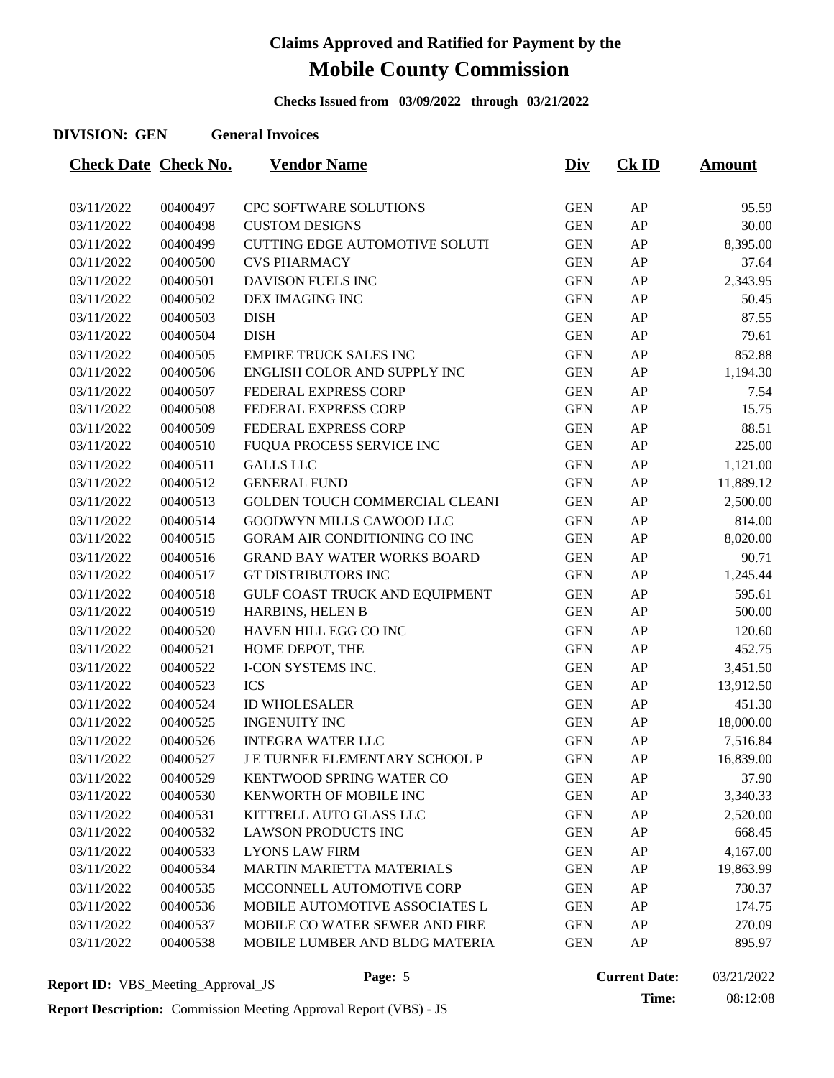**Checks Issued from 03/09/2022 through 03/21/2022**

### **DIVISION: GEN General Invoices**

| <b>Check Date Check No.</b> |          | <b>Vendor Name</b>                    | <u>Div</u> | $CK$ ID    | <b>Amount</b> |
|-----------------------------|----------|---------------------------------------|------------|------------|---------------|
|                             |          |                                       |            |            |               |
| 03/11/2022                  | 00400497 | CPC SOFTWARE SOLUTIONS                | <b>GEN</b> | ${\sf AP}$ | 95.59         |
| 03/11/2022                  | 00400498 | <b>CUSTOM DESIGNS</b>                 | <b>GEN</b> | AP         | 30.00         |
| 03/11/2022                  | 00400499 | <b>CUTTING EDGE AUTOMOTIVE SOLUTI</b> | <b>GEN</b> | AP         | 8,395.00      |
| 03/11/2022                  | 00400500 | <b>CVS PHARMACY</b>                   | <b>GEN</b> | AP         | 37.64         |
| 03/11/2022                  | 00400501 | DAVISON FUELS INC                     | <b>GEN</b> | AP         | 2,343.95      |
| 03/11/2022                  | 00400502 | DEX IMAGING INC                       | <b>GEN</b> | AP         | 50.45         |
| 03/11/2022                  | 00400503 | <b>DISH</b>                           | <b>GEN</b> | AP         | 87.55         |
| 03/11/2022                  | 00400504 | <b>DISH</b>                           | <b>GEN</b> | AP         | 79.61         |
| 03/11/2022                  | 00400505 | <b>EMPIRE TRUCK SALES INC</b>         | <b>GEN</b> | AP         | 852.88        |
| 03/11/2022                  | 00400506 | ENGLISH COLOR AND SUPPLY INC          | <b>GEN</b> | AP         | 1,194.30      |
| 03/11/2022                  | 00400507 | FEDERAL EXPRESS CORP                  | <b>GEN</b> | AP         | 7.54          |
| 03/11/2022                  | 00400508 | FEDERAL EXPRESS CORP                  | <b>GEN</b> | AP         | 15.75         |
| 03/11/2022                  | 00400509 | FEDERAL EXPRESS CORP                  | <b>GEN</b> | AP         | 88.51         |
| 03/11/2022                  | 00400510 | FUQUA PROCESS SERVICE INC             | <b>GEN</b> | AP         | 225.00        |
| 03/11/2022                  | 00400511 | <b>GALLS LLC</b>                      | <b>GEN</b> | AP         | 1,121.00      |
| 03/11/2022                  | 00400512 | <b>GENERAL FUND</b>                   | <b>GEN</b> | AP         | 11,889.12     |
| 03/11/2022                  | 00400513 | GOLDEN TOUCH COMMERCIAL CLEANI        | <b>GEN</b> | AP         | 2,500.00      |
| 03/11/2022                  | 00400514 | GOODWYN MILLS CAWOOD LLC              | <b>GEN</b> | AP         | 814.00        |
| 03/11/2022                  | 00400515 | <b>GORAM AIR CONDITIONING CO INC</b>  | <b>GEN</b> | AP         | 8,020.00      |
| 03/11/2022                  | 00400516 | <b>GRAND BAY WATER WORKS BOARD</b>    | <b>GEN</b> | AP         | 90.71         |
| 03/11/2022                  | 00400517 | GT DISTRIBUTORS INC                   | <b>GEN</b> | AP         | 1,245.44      |
| 03/11/2022                  | 00400518 | GULF COAST TRUCK AND EQUIPMENT        | <b>GEN</b> | AP         | 595.61        |
| 03/11/2022                  | 00400519 | HARBINS, HELEN B                      | <b>GEN</b> | AP         | 500.00        |
| 03/11/2022                  | 00400520 | HAVEN HILL EGG CO INC                 | <b>GEN</b> | AP         | 120.60        |
| 03/11/2022                  | 00400521 | HOME DEPOT, THE                       | <b>GEN</b> | AP         | 452.75        |
| 03/11/2022                  | 00400522 | I-CON SYSTEMS INC.                    | <b>GEN</b> | AP         | 3,451.50      |
| 03/11/2022                  | 00400523 | <b>ICS</b>                            | <b>GEN</b> | AP         | 13,912.50     |
| 03/11/2022                  | 00400524 | <b>ID WHOLESALER</b>                  | <b>GEN</b> | AP         | 451.30        |
| 03/11/2022                  | 00400525 | <b>INGENUITY INC</b>                  | <b>GEN</b> | AP         | 18,000.00     |
| 03/11/2022                  | 00400526 | <b>INTEGRA WATER LLC</b>              | <b>GEN</b> | AP         | 7,516.84      |
| 03/11/2022                  | 00400527 | J E TURNER ELEMENTARY SCHOOL P        | <b>GEN</b> | AP         | 16,839.00     |
| 03/11/2022                  | 00400529 | KENTWOOD SPRING WATER CO              | <b>GEN</b> | AP         | 37.90         |
| 03/11/2022                  | 00400530 | KENWORTH OF MOBILE INC                | <b>GEN</b> | AP         | 3,340.33      |
| 03/11/2022                  | 00400531 | KITTRELL AUTO GLASS LLC               | <b>GEN</b> | AP         | 2,520.00      |
| 03/11/2022                  | 00400532 | LAWSON PRODUCTS INC                   | <b>GEN</b> | AP         | 668.45        |
| 03/11/2022                  | 00400533 | <b>LYONS LAW FIRM</b>                 | <b>GEN</b> | AP         | 4,167.00      |
| 03/11/2022                  | 00400534 | <b>MARTIN MARIETTA MATERIALS</b>      | <b>GEN</b> | AP         | 19,863.99     |
| 03/11/2022                  | 00400535 | MCCONNELL AUTOMOTIVE CORP             | <b>GEN</b> | AP         | 730.37        |
| 03/11/2022                  | 00400536 | MOBILE AUTOMOTIVE ASSOCIATES L        | <b>GEN</b> | AP         | 174.75        |
| 03/11/2022                  | 00400537 | MOBILE CO WATER SEWER AND FIRE        | <b>GEN</b> | AP         | 270.09        |
| 03/11/2022                  | 00400538 | MOBILE LUMBER AND BLDG MATERIA        | <b>GEN</b> | AP         | 895.97        |
|                             |          |                                       |            |            |               |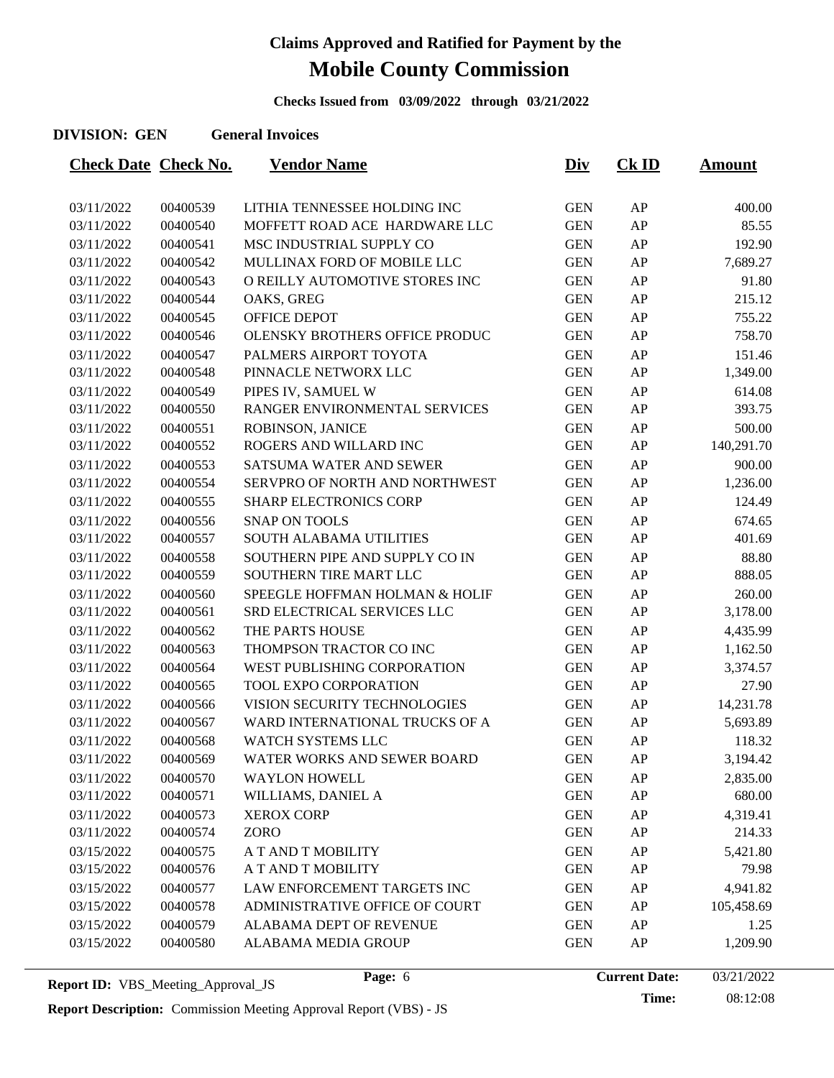**Checks Issued from 03/09/2022 through 03/21/2022**

### **DIVISION: GEN General Invoices**

| <b>Check Date Check No.</b> |          | <u>Vendor Name</u>             | <u>Div</u> | $CK$ ID | <u>Amount</u> |
|-----------------------------|----------|--------------------------------|------------|---------|---------------|
|                             |          |                                |            |         |               |
| 03/11/2022                  | 00400539 | LITHIA TENNESSEE HOLDING INC   | <b>GEN</b> | AP      | 400.00        |
| 03/11/2022                  | 00400540 | MOFFETT ROAD ACE HARDWARE LLC  | <b>GEN</b> | AP      | 85.55         |
| 03/11/2022                  | 00400541 | MSC INDUSTRIAL SUPPLY CO       | <b>GEN</b> | AP      | 192.90        |
| 03/11/2022                  | 00400542 | MULLINAX FORD OF MOBILE LLC    | <b>GEN</b> | AP      | 7,689.27      |
| 03/11/2022                  | 00400543 | O REILLY AUTOMOTIVE STORES INC | <b>GEN</b> | AP      | 91.80         |
| 03/11/2022                  | 00400544 | OAKS, GREG                     | <b>GEN</b> | AP      | 215.12        |
| 03/11/2022                  | 00400545 | OFFICE DEPOT                   | <b>GEN</b> | AP      | 755.22        |
| 03/11/2022                  | 00400546 | OLENSKY BROTHERS OFFICE PRODUC | <b>GEN</b> | AP      | 758.70        |
| 03/11/2022                  | 00400547 | PALMERS AIRPORT TOYOTA         | <b>GEN</b> | AP      | 151.46        |
| 03/11/2022                  | 00400548 | PINNACLE NETWORX LLC           | <b>GEN</b> | AP      | 1,349.00      |
| 03/11/2022                  | 00400549 | PIPES IV, SAMUEL W             | <b>GEN</b> | AP      | 614.08        |
| 03/11/2022                  | 00400550 | RANGER ENVIRONMENTAL SERVICES  | <b>GEN</b> | AP      | 393.75        |
| 03/11/2022                  | 00400551 | ROBINSON, JANICE               | <b>GEN</b> | AP      | 500.00        |
| 03/11/2022                  | 00400552 | ROGERS AND WILLARD INC         | <b>GEN</b> | AP      | 140,291.70    |
| 03/11/2022                  | 00400553 | SATSUMA WATER AND SEWER        | <b>GEN</b> | AP      | 900.00        |
| 03/11/2022                  | 00400554 | SERVPRO OF NORTH AND NORTHWEST | <b>GEN</b> | AP      | 1,236.00      |
| 03/11/2022                  | 00400555 | <b>SHARP ELECTRONICS CORP</b>  | <b>GEN</b> | AP      | 124.49        |
| 03/11/2022                  | 00400556 | <b>SNAP ON TOOLS</b>           | <b>GEN</b> | AP      | 674.65        |
| 03/11/2022                  | 00400557 | SOUTH ALABAMA UTILITIES        | <b>GEN</b> | AP      | 401.69        |
| 03/11/2022                  | 00400558 | SOUTHERN PIPE AND SUPPLY CO IN | <b>GEN</b> | AP      | 88.80         |
| 03/11/2022                  | 00400559 | SOUTHERN TIRE MART LLC         | <b>GEN</b> | AP      | 888.05        |
| 03/11/2022                  | 00400560 | SPEEGLE HOFFMAN HOLMAN & HOLIF | <b>GEN</b> | AP      | 260.00        |
| 03/11/2022                  | 00400561 | SRD ELECTRICAL SERVICES LLC    | <b>GEN</b> | AP      | 3,178.00      |
| 03/11/2022                  | 00400562 | THE PARTS HOUSE                | <b>GEN</b> | AP      | 4,435.99      |
| 03/11/2022                  | 00400563 | THOMPSON TRACTOR CO INC        | <b>GEN</b> | AP      | 1,162.50      |
| 03/11/2022                  | 00400564 | WEST PUBLISHING CORPORATION    | <b>GEN</b> | AP      | 3,374.57      |
| 03/11/2022                  | 00400565 | TOOL EXPO CORPORATION          | <b>GEN</b> | AP      | 27.90         |
| 03/11/2022                  | 00400566 | VISION SECURITY TECHNOLOGIES   | <b>GEN</b> | AP      | 14,231.78     |
| 03/11/2022                  | 00400567 | WARD INTERNATIONAL TRUCKS OF A | <b>GEN</b> | AP      | 5,693.89      |
| 03/11/2022                  | 00400568 | WATCH SYSTEMS LLC              | <b>GEN</b> | AP      | 118.32        |
| 03/11/2022                  | 00400569 | WATER WORKS AND SEWER BOARD    | <b>GEN</b> | AP      | 3,194.42      |
| 03/11/2022                  | 00400570 | <b>WAYLON HOWELL</b>           | <b>GEN</b> | AP      | 2,835.00      |
| 03/11/2022                  | 00400571 | WILLIAMS, DANIEL A             | <b>GEN</b> | AP      | 680.00        |
| 03/11/2022                  | 00400573 | <b>XEROX CORP</b>              | <b>GEN</b> | AP      | 4,319.41      |
| 03/11/2022                  | 00400574 | <b>ZORO</b>                    | <b>GEN</b> | AP      | 214.33        |
| 03/15/2022                  | 00400575 | A T AND T MOBILITY             | <b>GEN</b> | AP      | 5,421.80      |
| 03/15/2022                  | 00400576 | A T AND T MOBILITY             | <b>GEN</b> | AP      | 79.98         |
| 03/15/2022                  | 00400577 | LAW ENFORCEMENT TARGETS INC    | <b>GEN</b> | AP      | 4,941.82      |
| 03/15/2022                  | 00400578 | ADMINISTRATIVE OFFICE OF COURT | <b>GEN</b> | AP      | 105,458.69    |
| 03/15/2022                  | 00400579 | ALABAMA DEPT OF REVENUE        | <b>GEN</b> | AP      | 1.25          |
| 03/15/2022                  | 00400580 | ALABAMA MEDIA GROUP            | <b>GEN</b> | AP      | 1,209.90      |
|                             |          |                                |            |         |               |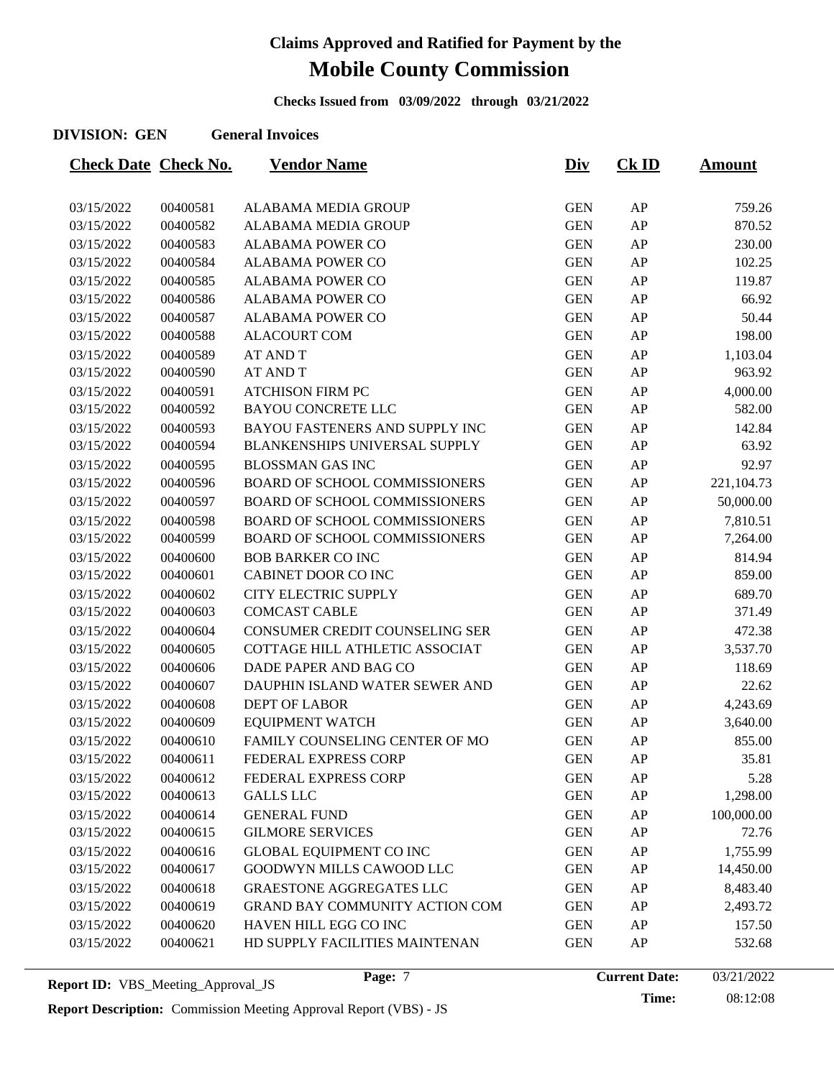**Checks Issued from 03/09/2022 through 03/21/2022**

#### **DIVISION: GEN General Invoices**

| <b>Check Date Check No.</b> |          | <u>Vendor Name</u>                   | <u>Div</u> | $CK$ ID    | <u>Amount</u> |
|-----------------------------|----------|--------------------------------------|------------|------------|---------------|
|                             |          |                                      |            |            |               |
| 03/15/2022                  | 00400581 | ALABAMA MEDIA GROUP                  | <b>GEN</b> | ${\sf AP}$ | 759.26        |
| 03/15/2022                  | 00400582 | ALABAMA MEDIA GROUP                  | <b>GEN</b> | AP         | 870.52        |
| 03/15/2022                  | 00400583 | <b>ALABAMA POWER CO</b>              | <b>GEN</b> | AP         | 230.00        |
| 03/15/2022                  | 00400584 | <b>ALABAMA POWER CO</b>              | <b>GEN</b> | AP         | 102.25        |
| 03/15/2022                  | 00400585 | <b>ALABAMA POWER CO</b>              | <b>GEN</b> | AP         | 119.87        |
| 03/15/2022                  | 00400586 | <b>ALABAMA POWER CO</b>              | <b>GEN</b> | AP         | 66.92         |
| 03/15/2022                  | 00400587 | <b>ALABAMA POWER CO</b>              | <b>GEN</b> | AP         | 50.44         |
| 03/15/2022                  | 00400588 | <b>ALACOURT COM</b>                  | <b>GEN</b> | AP         | 198.00        |
| 03/15/2022                  | 00400589 | <b>AT AND T</b>                      | <b>GEN</b> | AP         | 1,103.04      |
| 03/15/2022                  | 00400590 | <b>AT AND T</b>                      | <b>GEN</b> | AP         | 963.92        |
| 03/15/2022                  | 00400591 | <b>ATCHISON FIRM PC</b>              | <b>GEN</b> | AP         | 4,000.00      |
| 03/15/2022                  | 00400592 | <b>BAYOU CONCRETE LLC</b>            | <b>GEN</b> | AP         | 582.00        |
| 03/15/2022                  | 00400593 | BAYOU FASTENERS AND SUPPLY INC       | <b>GEN</b> | AP         | 142.84        |
| 03/15/2022                  | 00400594 | BLANKENSHIPS UNIVERSAL SUPPLY        | <b>GEN</b> | AP         | 63.92         |
| 03/15/2022                  | 00400595 | <b>BLOSSMAN GAS INC</b>              | <b>GEN</b> | AP         | 92.97         |
| 03/15/2022                  | 00400596 | <b>BOARD OF SCHOOL COMMISSIONERS</b> | <b>GEN</b> | AP         | 221,104.73    |
| 03/15/2022                  | 00400597 | <b>BOARD OF SCHOOL COMMISSIONERS</b> | <b>GEN</b> | AP         | 50,000.00     |
| 03/15/2022                  | 00400598 | <b>BOARD OF SCHOOL COMMISSIONERS</b> | <b>GEN</b> | AP         | 7,810.51      |
| 03/15/2022                  | 00400599 | <b>BOARD OF SCHOOL COMMISSIONERS</b> | <b>GEN</b> | ${\sf AP}$ | 7,264.00      |
| 03/15/2022                  | 00400600 | <b>BOB BARKER CO INC</b>             | <b>GEN</b> | AP         | 814.94        |
| 03/15/2022                  | 00400601 | CABINET DOOR CO INC                  | <b>GEN</b> | ${\sf AP}$ | 859.00        |
| 03/15/2022                  | 00400602 | <b>CITY ELECTRIC SUPPLY</b>          | <b>GEN</b> | AP         | 689.70        |
| 03/15/2022                  | 00400603 | <b>COMCAST CABLE</b>                 | <b>GEN</b> | AP         | 371.49        |
| 03/15/2022                  | 00400604 | CONSUMER CREDIT COUNSELING SER       | <b>GEN</b> | AP         | 472.38        |
| 03/15/2022                  | 00400605 | COTTAGE HILL ATHLETIC ASSOCIAT       | <b>GEN</b> | ${\sf AP}$ | 3,537.70      |
| 03/15/2022                  | 00400606 | DADE PAPER AND BAG CO                | <b>GEN</b> | AP         | 118.69        |
| 03/15/2022                  | 00400607 | DAUPHIN ISLAND WATER SEWER AND       | <b>GEN</b> | AP         | 22.62         |
| 03/15/2022                  | 00400608 | <b>DEPT OF LABOR</b>                 | <b>GEN</b> | AP         | 4,243.69      |
| 03/15/2022                  | 00400609 | <b>EQUIPMENT WATCH</b>               | <b>GEN</b> | ${\sf AP}$ | 3,640.00      |
| 03/15/2022                  | 00400610 | FAMILY COUNSELING CENTER OF MO       | <b>GEN</b> | AP         | 855.00        |
| 03/15/2022                  | 00400611 | FEDERAL EXPRESS CORP                 | <b>GEN</b> | AP         | 35.81         |
| 03/15/2022                  | 00400612 | FEDERAL EXPRESS CORP                 | <b>GEN</b> | AP         | 5.28          |
| 03/15/2022                  | 00400613 | <b>GALLS LLC</b>                     | <b>GEN</b> | ${\sf AP}$ | 1,298.00      |
| 03/15/2022                  | 00400614 | <b>GENERAL FUND</b>                  | <b>GEN</b> | AP         | 100,000.00    |
| 03/15/2022                  | 00400615 | <b>GILMORE SERVICES</b>              | <b>GEN</b> | AP         | 72.76         |
| 03/15/2022                  | 00400616 | <b>GLOBAL EQUIPMENT CO INC</b>       | <b>GEN</b> | AP         | 1,755.99      |
| 03/15/2022                  | 00400617 | GOODWYN MILLS CAWOOD LLC             | <b>GEN</b> | ${\sf AP}$ | 14,450.00     |
| 03/15/2022                  | 00400618 | <b>GRAESTONE AGGREGATES LLC</b>      | <b>GEN</b> | AP         | 8,483.40      |
| 03/15/2022                  | 00400619 | GRAND BAY COMMUNITY ACTION COM       | <b>GEN</b> | AP         | 2,493.72      |
| 03/15/2022                  | 00400620 | HAVEN HILL EGG CO INC                | <b>GEN</b> | ${\sf AP}$ | 157.50        |
| 03/15/2022                  | 00400621 | HD SUPPLY FACILITIES MAINTENAN       | <b>GEN</b> | ${\sf AP}$ | 532.68        |
|                             |          |                                      |            |            |               |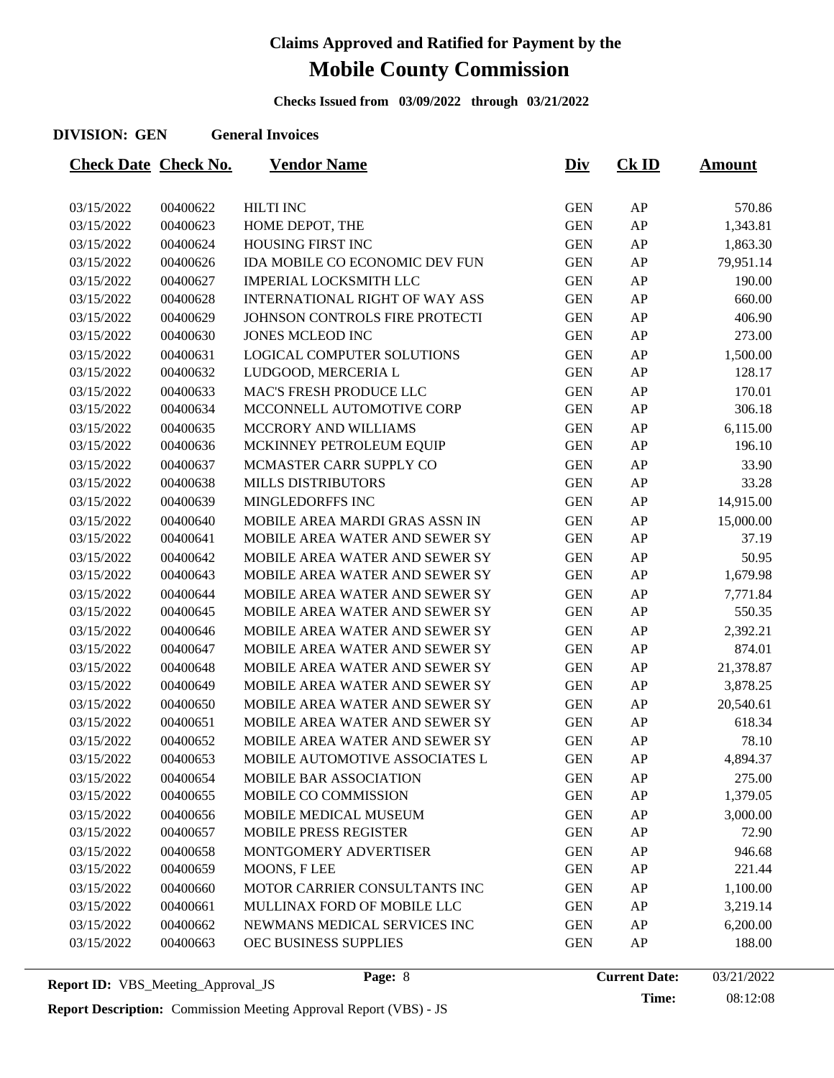**Checks Issued from 03/09/2022 through 03/21/2022**

#### **DIVISION: GEN General Invoices**

| <b>Check Date Check No.</b> |          | <b>Vendor Name</b>                    | <u>Div</u> | $CK$ ID | <u>Amount</u> |
|-----------------------------|----------|---------------------------------------|------------|---------|---------------|
|                             |          |                                       |            |         |               |
| 03/15/2022                  | 00400622 | HILTI INC                             | <b>GEN</b> | AP      | 570.86        |
| 03/15/2022                  | 00400623 | HOME DEPOT, THE                       | <b>GEN</b> | AP      | 1,343.81      |
| 03/15/2022                  | 00400624 | HOUSING FIRST INC                     | <b>GEN</b> | AP      | 1,863.30      |
| 03/15/2022                  | 00400626 | IDA MOBILE CO ECONOMIC DEV FUN        | <b>GEN</b> | AP      | 79,951.14     |
| 03/15/2022                  | 00400627 | <b>IMPERIAL LOCKSMITH LLC</b>         | <b>GEN</b> | AP      | 190.00        |
| 03/15/2022                  | 00400628 | <b>INTERNATIONAL RIGHT OF WAY ASS</b> | <b>GEN</b> | AP      | 660.00        |
| 03/15/2022                  | 00400629 | JOHNSON CONTROLS FIRE PROTECTI        | <b>GEN</b> | AP      | 406.90        |
| 03/15/2022                  | 00400630 | JONES MCLEOD INC                      | <b>GEN</b> | AP      | 273.00        |
| 03/15/2022                  | 00400631 | LOGICAL COMPUTER SOLUTIONS            | <b>GEN</b> | AP      | 1,500.00      |
| 03/15/2022                  | 00400632 | LUDGOOD, MERCERIA L                   | <b>GEN</b> | AP      | 128.17        |
| 03/15/2022                  | 00400633 | MAC'S FRESH PRODUCE LLC               | <b>GEN</b> | AP      | 170.01        |
| 03/15/2022                  | 00400634 | MCCONNELL AUTOMOTIVE CORP             | <b>GEN</b> | AP      | 306.18        |
| 03/15/2022                  | 00400635 | MCCRORY AND WILLIAMS                  | <b>GEN</b> | AP      | 6,115.00      |
| 03/15/2022                  | 00400636 | MCKINNEY PETROLEUM EQUIP              | <b>GEN</b> | AP      | 196.10        |
| 03/15/2022                  | 00400637 | MCMASTER CARR SUPPLY CO               | <b>GEN</b> | AP      | 33.90         |
| 03/15/2022                  | 00400638 | MILLS DISTRIBUTORS                    | <b>GEN</b> | AP      | 33.28         |
| 03/15/2022                  | 00400639 | MINGLEDORFFS INC                      | <b>GEN</b> | AP      | 14,915.00     |
| 03/15/2022                  | 00400640 | MOBILE AREA MARDI GRAS ASSN IN        | <b>GEN</b> | AP      | 15,000.00     |
| 03/15/2022                  | 00400641 | MOBILE AREA WATER AND SEWER SY        | <b>GEN</b> | AP      | 37.19         |
| 03/15/2022                  | 00400642 | MOBILE AREA WATER AND SEWER SY        | <b>GEN</b> | AP      | 50.95         |
| 03/15/2022                  | 00400643 | MOBILE AREA WATER AND SEWER SY        | <b>GEN</b> | AP      | 1,679.98      |
| 03/15/2022                  | 00400644 | MOBILE AREA WATER AND SEWER SY        | <b>GEN</b> | AP      | 7,771.84      |
| 03/15/2022                  | 00400645 | MOBILE AREA WATER AND SEWER SY        | <b>GEN</b> | AP      | 550.35        |
| 03/15/2022                  | 00400646 | MOBILE AREA WATER AND SEWER SY        | <b>GEN</b> | AP      | 2,392.21      |
| 03/15/2022                  | 00400647 | MOBILE AREA WATER AND SEWER SY        | <b>GEN</b> | AP      | 874.01        |
| 03/15/2022                  | 00400648 | MOBILE AREA WATER AND SEWER SY        | <b>GEN</b> | AP      | 21,378.87     |
| 03/15/2022                  | 00400649 | MOBILE AREA WATER AND SEWER SY        | <b>GEN</b> | AP      | 3,878.25      |
| 03/15/2022                  | 00400650 | MOBILE AREA WATER AND SEWER SY        | <b>GEN</b> | AP      | 20,540.61     |
| 03/15/2022                  | 00400651 | MOBILE AREA WATER AND SEWER SY        | <b>GEN</b> | AP      | 618.34        |
| 03/15/2022                  | 00400652 | MOBILE AREA WATER AND SEWER SY        | <b>GEN</b> | AP      | 78.10         |
| 03/15/2022                  | 00400653 | MOBILE AUTOMOTIVE ASSOCIATES L        | <b>GEN</b> | AP      | 4,894.37      |
| 03/15/2022                  | 00400654 | MOBILE BAR ASSOCIATION                | <b>GEN</b> | AP      | 275.00        |
| 03/15/2022                  | 00400655 | MOBILE CO COMMISSION                  | <b>GEN</b> | AP      | 1,379.05      |
| 03/15/2022                  | 00400656 | MOBILE MEDICAL MUSEUM                 | <b>GEN</b> | AP      | 3,000.00      |
| 03/15/2022                  | 00400657 | MOBILE PRESS REGISTER                 | <b>GEN</b> | AP      | 72.90         |
| 03/15/2022                  | 00400658 | MONTGOMERY ADVERTISER                 | <b>GEN</b> | AP      | 946.68        |
| 03/15/2022                  | 00400659 | MOONS, FLEE                           | <b>GEN</b> | AP      | 221.44        |
| 03/15/2022                  | 00400660 | MOTOR CARRIER CONSULTANTS INC         | <b>GEN</b> | AP      | 1,100.00      |
| 03/15/2022                  | 00400661 | MULLINAX FORD OF MOBILE LLC           | <b>GEN</b> | AP      | 3,219.14      |
| 03/15/2022                  | 00400662 | NEWMANS MEDICAL SERVICES INC          | <b>GEN</b> | AP      | 6,200.00      |
| 03/15/2022                  | 00400663 | OEC BUSINESS SUPPLIES                 | <b>GEN</b> | AP      | 188.00        |
|                             |          |                                       |            |         |               |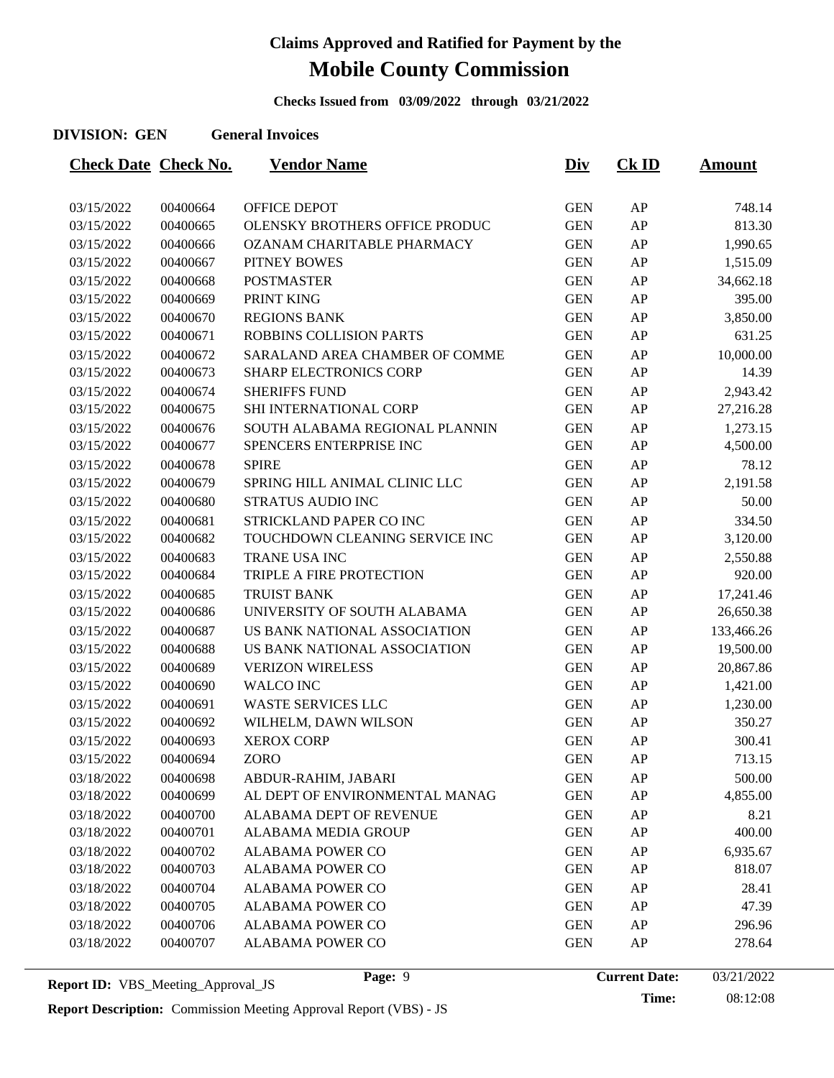**Checks Issued from 03/09/2022 through 03/21/2022**

### **DIVISION: GEN General Invoices**

| <b>Check Date Check No.</b> |          | <b>Vendor Name</b>                    | <u>Div</u> | $CK$ ID | <b>Amount</b> |
|-----------------------------|----------|---------------------------------------|------------|---------|---------------|
|                             |          |                                       |            |         |               |
| 03/15/2022                  | 00400664 | OFFICE DEPOT                          | <b>GEN</b> | AP      | 748.14        |
| 03/15/2022                  | 00400665 | <b>OLENSKY BROTHERS OFFICE PRODUC</b> | <b>GEN</b> | AP      | 813.30        |
| 03/15/2022                  | 00400666 | OZANAM CHARITABLE PHARMACY            | <b>GEN</b> | AP      | 1,990.65      |
| 03/15/2022                  | 00400667 | <b>PITNEY BOWES</b>                   | <b>GEN</b> | AP      | 1,515.09      |
| 03/15/2022                  | 00400668 | <b>POSTMASTER</b>                     | <b>GEN</b> | AP      | 34,662.18     |
| 03/15/2022                  | 00400669 | PRINT KING                            | <b>GEN</b> | AP      | 395.00        |
| 03/15/2022                  | 00400670 | <b>REGIONS BANK</b>                   | <b>GEN</b> | AP      | 3,850.00      |
| 03/15/2022                  | 00400671 | <b>ROBBINS COLLISION PARTS</b>        | <b>GEN</b> | AP      | 631.25        |
| 03/15/2022                  | 00400672 | SARALAND AREA CHAMBER OF COMME        | <b>GEN</b> | AP      | 10,000.00     |
| 03/15/2022                  | 00400673 | <b>SHARP ELECTRONICS CORP</b>         | <b>GEN</b> | AP      | 14.39         |
| 03/15/2022                  | 00400674 | <b>SHERIFFS FUND</b>                  | <b>GEN</b> | AP      | 2,943.42      |
| 03/15/2022                  | 00400675 | SHI INTERNATIONAL CORP                | <b>GEN</b> | AP      | 27,216.28     |
| 03/15/2022                  | 00400676 | SOUTH ALABAMA REGIONAL PLANNIN        | <b>GEN</b> | AP      | 1,273.15      |
| 03/15/2022                  | 00400677 | SPENCERS ENTERPRISE INC               | <b>GEN</b> | AP      | 4,500.00      |
| 03/15/2022                  | 00400678 | <b>SPIRE</b>                          | <b>GEN</b> | AP      | 78.12         |
| 03/15/2022                  | 00400679 | SPRING HILL ANIMAL CLINIC LLC         | <b>GEN</b> | AP      | 2,191.58      |
| 03/15/2022                  | 00400680 | <b>STRATUS AUDIO INC</b>              | <b>GEN</b> | AP      | 50.00         |
| 03/15/2022                  | 00400681 | STRICKLAND PAPER CO INC               | <b>GEN</b> | AP      | 334.50        |
| 03/15/2022                  | 00400682 | TOUCHDOWN CLEANING SERVICE INC        | <b>GEN</b> | AP      | 3,120.00      |
| 03/15/2022                  | 00400683 | TRANE USA INC                         | <b>GEN</b> | AP      | 2,550.88      |
| 03/15/2022                  | 00400684 | TRIPLE A FIRE PROTECTION              | <b>GEN</b> | AP      | 920.00        |
| 03/15/2022                  | 00400685 | <b>TRUIST BANK</b>                    | <b>GEN</b> | AP      | 17,241.46     |
| 03/15/2022                  | 00400686 | UNIVERSITY OF SOUTH ALABAMA           | <b>GEN</b> | AP      | 26,650.38     |
| 03/15/2022                  | 00400687 | US BANK NATIONAL ASSOCIATION          | <b>GEN</b> | AP      | 133,466.26    |
| 03/15/2022                  | 00400688 | US BANK NATIONAL ASSOCIATION          | <b>GEN</b> | AP      | 19,500.00     |
| 03/15/2022                  | 00400689 | <b>VERIZON WIRELESS</b>               | <b>GEN</b> | AP      | 20,867.86     |
| 03/15/2022                  | 00400690 | <b>WALCO INC</b>                      | <b>GEN</b> | AP      | 1,421.00      |
| 03/15/2022                  | 00400691 | <b>WASTE SERVICES LLC</b>             | <b>GEN</b> | AP      | 1,230.00      |
| 03/15/2022                  | 00400692 | WILHELM, DAWN WILSON                  | <b>GEN</b> | AP      | 350.27        |
| 03/15/2022                  | 00400693 | <b>XEROX CORP</b>                     | <b>GEN</b> | AP      | 300.41        |
| 03/15/2022                  | 00400694 | ZORO                                  | <b>GEN</b> | AP      | 713.15        |
| 03/18/2022                  | 00400698 | ABDUR-RAHIM, JABARI                   | <b>GEN</b> | AP      | 500.00        |
| 03/18/2022                  | 00400699 | AL DEPT OF ENVIRONMENTAL MANAG        | <b>GEN</b> | AP      | 4,855.00      |
| 03/18/2022                  | 00400700 | ALABAMA DEPT OF REVENUE               | <b>GEN</b> | AP      | 8.21          |
| 03/18/2022                  | 00400701 | ALABAMA MEDIA GROUP                   | <b>GEN</b> | AP      | 400.00        |
| 03/18/2022                  | 00400702 | <b>ALABAMA POWER CO</b>               | <b>GEN</b> | AP      | 6,935.67      |
| 03/18/2022                  | 00400703 | ALABAMA POWER CO                      | <b>GEN</b> | AP      | 818.07        |
| 03/18/2022                  | 00400704 | <b>ALABAMA POWER CO</b>               | <b>GEN</b> | AP      | 28.41         |
| 03/18/2022                  | 00400705 | ALABAMA POWER CO                      | <b>GEN</b> | AP      | 47.39         |
| 03/18/2022                  | 00400706 | <b>ALABAMA POWER CO</b>               | <b>GEN</b> | AP      | 296.96        |
| 03/18/2022                  | 00400707 | ALABAMA POWER CO                      | <b>GEN</b> | AP      | 278.64        |
|                             |          |                                       |            |         |               |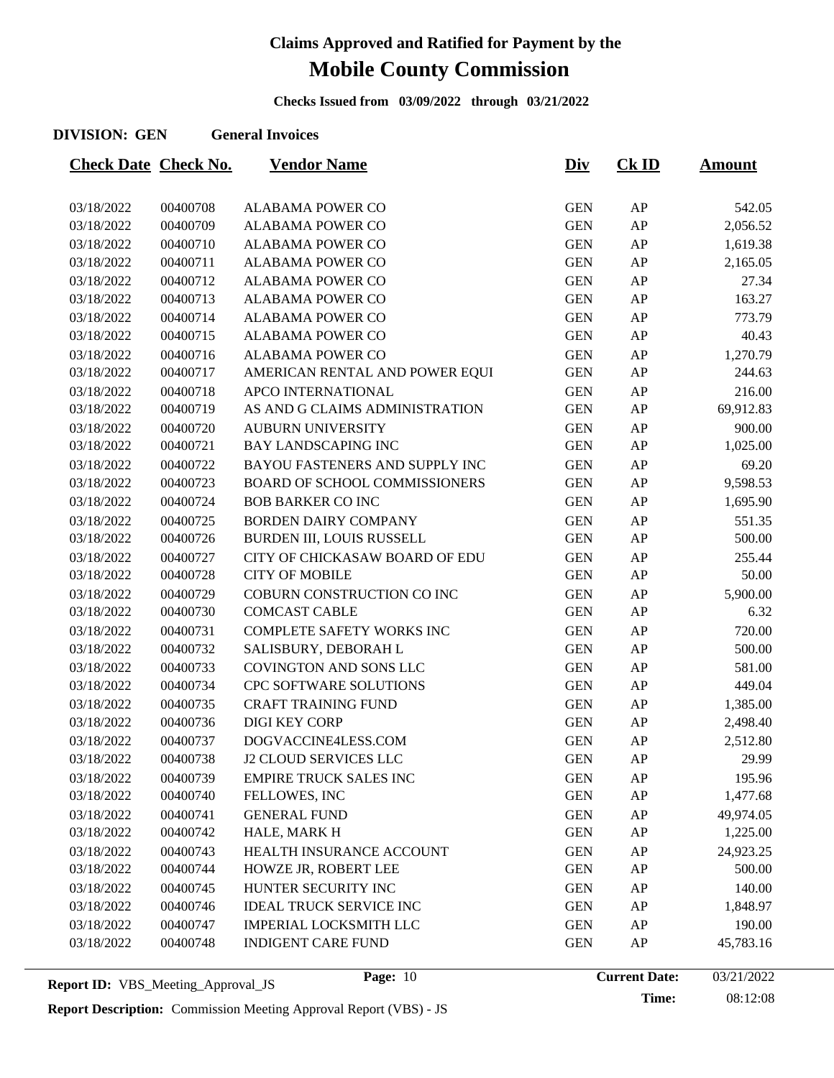**Checks Issued from 03/09/2022 through 03/21/2022**

#### **DIVISION: GEN General Invoices**

| <b>Check Date Check No.</b> |          | <u>Vendor Name</u>             | <u>Div</u> | <u>Ck ID</u> | <u>Amount</u> |
|-----------------------------|----------|--------------------------------|------------|--------------|---------------|
|                             |          |                                |            |              |               |
| 03/18/2022                  | 00400708 | <b>ALABAMA POWER CO</b>        | <b>GEN</b> | AP           | 542.05        |
| 03/18/2022                  | 00400709 | <b>ALABAMA POWER CO</b>        | <b>GEN</b> | AP           | 2,056.52      |
| 03/18/2022                  | 00400710 | <b>ALABAMA POWER CO</b>        | <b>GEN</b> | AP           | 1,619.38      |
| 03/18/2022                  | 00400711 | <b>ALABAMA POWER CO</b>        | <b>GEN</b> | AP           | 2,165.05      |
| 03/18/2022                  | 00400712 | ALABAMA POWER CO               | <b>GEN</b> | AP           | 27.34         |
| 03/18/2022                  | 00400713 | ALABAMA POWER CO               | <b>GEN</b> | AP           | 163.27        |
| 03/18/2022                  | 00400714 | <b>ALABAMA POWER CO</b>        | <b>GEN</b> | AP           | 773.79        |
| 03/18/2022                  | 00400715 | ALABAMA POWER CO               | <b>GEN</b> | AP           | 40.43         |
| 03/18/2022                  | 00400716 | ALABAMA POWER CO               | <b>GEN</b> | AP           | 1,270.79      |
| 03/18/2022                  | 00400717 | AMERICAN RENTAL AND POWER EQUI | <b>GEN</b> | AP           | 244.63        |
| 03/18/2022                  | 00400718 | APCO INTERNATIONAL             | <b>GEN</b> | AP           | 216.00        |
| 03/18/2022                  | 00400719 | AS AND G CLAIMS ADMINISTRATION | <b>GEN</b> | AP           | 69,912.83     |
| 03/18/2022                  | 00400720 | <b>AUBURN UNIVERSITY</b>       | <b>GEN</b> | AP           | 900.00        |
| 03/18/2022                  | 00400721 | <b>BAY LANDSCAPING INC</b>     | <b>GEN</b> | AP           | 1,025.00      |
| 03/18/2022                  | 00400722 | BAYOU FASTENERS AND SUPPLY INC | <b>GEN</b> | AP           | 69.20         |
| 03/18/2022                  | 00400723 | BOARD OF SCHOOL COMMISSIONERS  | <b>GEN</b> | AP           | 9,598.53      |
| 03/18/2022                  | 00400724 | <b>BOB BARKER CO INC</b>       | <b>GEN</b> | AP           | 1,695.90      |
| 03/18/2022                  | 00400725 | <b>BORDEN DAIRY COMPANY</b>    | <b>GEN</b> | AP           | 551.35        |
| 03/18/2022                  | 00400726 | BURDEN III, LOUIS RUSSELL      | <b>GEN</b> | AP           | 500.00        |
| 03/18/2022                  | 00400727 | CITY OF CHICKASAW BOARD OF EDU | <b>GEN</b> | AP           | 255.44        |
| 03/18/2022                  | 00400728 | <b>CITY OF MOBILE</b>          | <b>GEN</b> | AP           | 50.00         |
| 03/18/2022                  | 00400729 | COBURN CONSTRUCTION CO INC     | <b>GEN</b> | AP           | 5,900.00      |
| 03/18/2022                  | 00400730 | <b>COMCAST CABLE</b>           | <b>GEN</b> | AP           | 6.32          |
| 03/18/2022                  | 00400731 | COMPLETE SAFETY WORKS INC      | <b>GEN</b> | ${\sf AP}$   | 720.00        |
| 03/18/2022                  | 00400732 | SALISBURY, DEBORAH L           | <b>GEN</b> | AP           | 500.00        |
| 03/18/2022                  | 00400733 | COVINGTON AND SONS LLC         | <b>GEN</b> | AP           | 581.00        |
| 03/18/2022                  | 00400734 | CPC SOFTWARE SOLUTIONS         | <b>GEN</b> | AP           | 449.04        |
| 03/18/2022                  | 00400735 | <b>CRAFT TRAINING FUND</b>     | <b>GEN</b> | AP           | 1,385.00      |
| 03/18/2022                  | 00400736 | <b>DIGI KEY CORP</b>           | <b>GEN</b> | AP           | 2,498.40      |
| 03/18/2022                  | 00400737 | DOGVACCINE4LESS.COM            | <b>GEN</b> | AP           | 2,512.80      |
| 03/18/2022                  | 00400738 | <b>J2 CLOUD SERVICES LLC</b>   | <b>GEN</b> | AP           | 29.99         |
| 03/18/2022                  | 00400739 | <b>EMPIRE TRUCK SALES INC</b>  | <b>GEN</b> | AP           | 195.96        |
| 03/18/2022                  | 00400740 | FELLOWES, INC                  | <b>GEN</b> | AP           | 1,477.68      |
| 03/18/2022                  | 00400741 | <b>GENERAL FUND</b>            | <b>GEN</b> | AP           | 49,974.05     |
| 03/18/2022                  | 00400742 | HALE, MARK H                   | <b>GEN</b> | AP           | 1,225.00      |
| 03/18/2022                  | 00400743 | HEALTH INSURANCE ACCOUNT       | <b>GEN</b> | AP           | 24,923.25     |
| 03/18/2022                  | 00400744 | HOWZE JR, ROBERT LEE           | <b>GEN</b> | AP           | 500.00        |
| 03/18/2022                  | 00400745 | HUNTER SECURITY INC            | <b>GEN</b> | AP           | 140.00        |
| 03/18/2022                  | 00400746 | <b>IDEAL TRUCK SERVICE INC</b> | <b>GEN</b> | AP           | 1,848.97      |
| 03/18/2022                  | 00400747 | <b>IMPERIAL LOCKSMITH LLC</b>  | <b>GEN</b> | AP           | 190.00        |
| 03/18/2022                  | 00400748 | <b>INDIGENT CARE FUND</b>      | <b>GEN</b> | AP           | 45,783.16     |
|                             |          |                                |            |              |               |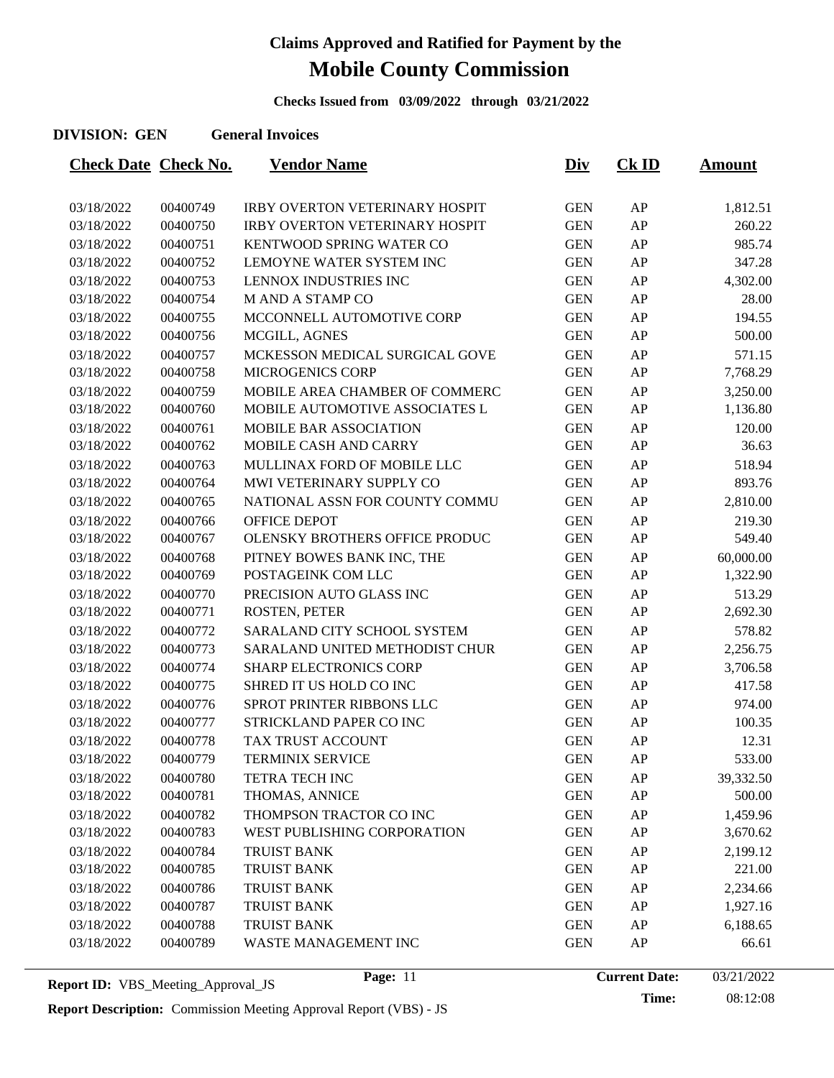**Checks Issued from 03/09/2022 through 03/21/2022**

### **DIVISION: GEN General Invoices**

| <b>Check Date Check No.</b> |          | <u>Vendor Name</u>                    | <u>Div</u> | $CK$ ID | <b>Amount</b> |
|-----------------------------|----------|---------------------------------------|------------|---------|---------------|
|                             |          |                                       |            |         |               |
| 03/18/2022                  | 00400749 | <b>IRBY OVERTON VETERINARY HOSPIT</b> | <b>GEN</b> | AP      | 1,812.51      |
| 03/18/2022                  | 00400750 | <b>IRBY OVERTON VETERINARY HOSPIT</b> | <b>GEN</b> | AP      | 260.22        |
| 03/18/2022                  | 00400751 | KENTWOOD SPRING WATER CO              | <b>GEN</b> | AP      | 985.74        |
| 03/18/2022                  | 00400752 | LEMOYNE WATER SYSTEM INC              | <b>GEN</b> | AP      | 347.28        |
| 03/18/2022                  | 00400753 | LENNOX INDUSTRIES INC                 | <b>GEN</b> | AP      | 4,302.00      |
| 03/18/2022                  | 00400754 | <b>MANDA STAMP CO</b>                 | <b>GEN</b> | AP      | 28.00         |
| 03/18/2022                  | 00400755 | MCCONNELL AUTOMOTIVE CORP             | <b>GEN</b> | AP      | 194.55        |
| 03/18/2022                  | 00400756 | MCGILL, AGNES                         | <b>GEN</b> | AP      | 500.00        |
| 03/18/2022                  | 00400757 | MCKESSON MEDICAL SURGICAL GOVE        | <b>GEN</b> | AP      | 571.15        |
| 03/18/2022                  | 00400758 | <b>MICROGENICS CORP</b>               | <b>GEN</b> | AP      | 7,768.29      |
| 03/18/2022                  | 00400759 | MOBILE AREA CHAMBER OF COMMERC        | <b>GEN</b> | AP      | 3,250.00      |
| 03/18/2022                  | 00400760 | MOBILE AUTOMOTIVE ASSOCIATES L        | <b>GEN</b> | AP      | 1,136.80      |
| 03/18/2022                  | 00400761 | MOBILE BAR ASSOCIATION                | <b>GEN</b> | AP      | 120.00        |
| 03/18/2022                  | 00400762 | MOBILE CASH AND CARRY                 | <b>GEN</b> | AP      | 36.63         |
| 03/18/2022                  | 00400763 | MULLINAX FORD OF MOBILE LLC           | <b>GEN</b> | AP      | 518.94        |
| 03/18/2022                  | 00400764 | MWI VETERINARY SUPPLY CO              | <b>GEN</b> | AP      | 893.76        |
| 03/18/2022                  | 00400765 | NATIONAL ASSN FOR COUNTY COMMU        | <b>GEN</b> | AP      | 2,810.00      |
| 03/18/2022                  | 00400766 | OFFICE DEPOT                          | <b>GEN</b> | AP      | 219.30        |
| 03/18/2022                  | 00400767 | OLENSKY BROTHERS OFFICE PRODUC        | <b>GEN</b> | AP      | 549.40        |
| 03/18/2022                  | 00400768 | PITNEY BOWES BANK INC, THE            | <b>GEN</b> | AP      | 60,000.00     |
| 03/18/2022                  | 00400769 | POSTAGEINK COM LLC                    | <b>GEN</b> | AP      | 1,322.90      |
| 03/18/2022                  | 00400770 | PRECISION AUTO GLASS INC              | <b>GEN</b> | AP      | 513.29        |
| 03/18/2022                  | 00400771 | ROSTEN, PETER                         | <b>GEN</b> | AP      | 2,692.30      |
| 03/18/2022                  | 00400772 | SARALAND CITY SCHOOL SYSTEM           | <b>GEN</b> | AP      | 578.82        |
| 03/18/2022                  | 00400773 | SARALAND UNITED METHODIST CHUR        | <b>GEN</b> | AP      | 2,256.75      |
| 03/18/2022                  | 00400774 | <b>SHARP ELECTRONICS CORP</b>         | <b>GEN</b> | AP      | 3,706.58      |
| 03/18/2022                  | 00400775 | SHRED IT US HOLD CO INC               | <b>GEN</b> | AP      | 417.58        |
| 03/18/2022                  | 00400776 | SPROT PRINTER RIBBONS LLC             | <b>GEN</b> | AP      | 974.00        |
| 03/18/2022                  | 00400777 | STRICKLAND PAPER CO INC               | <b>GEN</b> | AP      | 100.35        |
| 03/18/2022                  | 00400778 | TAX TRUST ACCOUNT                     | <b>GEN</b> | AP      | 12.31         |
| 03/18/2022                  | 00400779 | <b>TERMINIX SERVICE</b>               | <b>GEN</b> | AP      | 533.00        |
| 03/18/2022                  | 00400780 | <b>TETRA TECH INC</b>                 | <b>GEN</b> | AP      | 39,332.50     |
| 03/18/2022                  | 00400781 | THOMAS, ANNICE                        | <b>GEN</b> | AP      | 500.00        |
| 03/18/2022                  | 00400782 | THOMPSON TRACTOR CO INC               | <b>GEN</b> | AP      | 1,459.96      |
| 03/18/2022                  | 00400783 | WEST PUBLISHING CORPORATION           | <b>GEN</b> | AP      | 3,670.62      |
| 03/18/2022                  | 00400784 | <b>TRUIST BANK</b>                    | <b>GEN</b> | AP      | 2,199.12      |
| 03/18/2022                  | 00400785 | <b>TRUIST BANK</b>                    | <b>GEN</b> | AP      | 221.00        |
| 03/18/2022                  | 00400786 | TRUIST BANK                           | <b>GEN</b> | AP      | 2,234.66      |
| 03/18/2022                  | 00400787 | <b>TRUIST BANK</b>                    | <b>GEN</b> | AP      | 1,927.16      |
| 03/18/2022                  | 00400788 | <b>TRUIST BANK</b>                    | <b>GEN</b> | AP      | 6,188.65      |
| 03/18/2022                  | 00400789 | WASTE MANAGEMENT INC                  | <b>GEN</b> | AP      | 66.61         |
|                             |          |                                       |            |         |               |

**Time:** 08:12:08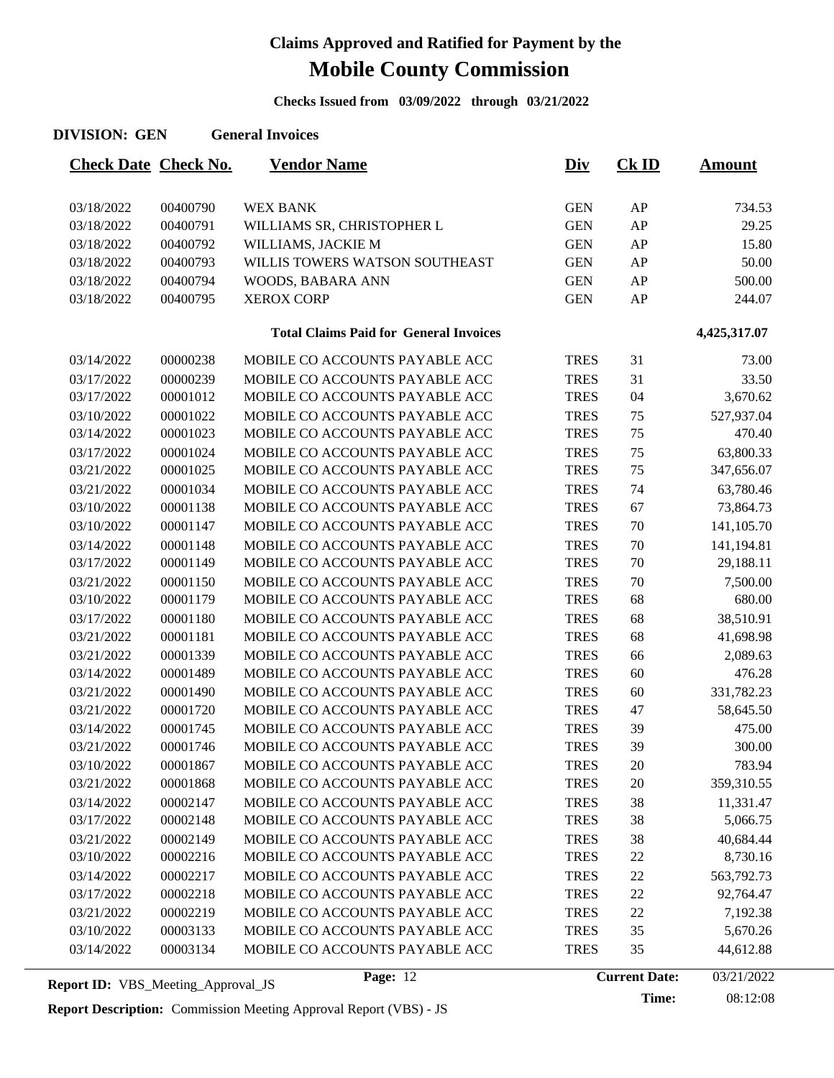**Checks Issued from 03/09/2022 through 03/21/2022**

| <b>DIVISION: GEN</b>        |          | <b>General Invoices</b>                       |             |         |               |
|-----------------------------|----------|-----------------------------------------------|-------------|---------|---------------|
| <b>Check Date Check No.</b> |          | <b>Vendor Name</b>                            | <b>Div</b>  | $CK$ ID | <b>Amount</b> |
| 03/18/2022                  | 00400790 | <b>WEX BANK</b>                               | <b>GEN</b>  | AP      | 734.53        |
| 03/18/2022                  | 00400791 | WILLIAMS SR, CHRISTOPHER L                    | <b>GEN</b>  | AP      | 29.25         |
| 03/18/2022                  | 00400792 | WILLIAMS, JACKIE M                            | <b>GEN</b>  | AP      | 15.80         |
| 03/18/2022                  | 00400793 | WILLIS TOWERS WATSON SOUTHEAST                | <b>GEN</b>  | AP      | 50.00         |
| 03/18/2022                  | 00400794 | WOODS, BABARA ANN                             | <b>GEN</b>  | AP      | 500.00        |
| 03/18/2022                  | 00400795 | <b>XEROX CORP</b>                             | <b>GEN</b>  | AP      | 244.07        |
|                             |          | <b>Total Claims Paid for General Invoices</b> |             |         | 4,425,317.07  |
| 03/14/2022                  | 00000238 | MOBILE CO ACCOUNTS PAYABLE ACC                | <b>TRES</b> | 31      | 73.00         |
| 03/17/2022                  | 00000239 | MOBILE CO ACCOUNTS PAYABLE ACC                | <b>TRES</b> | 31      | 33.50         |
| 03/17/2022                  | 00001012 | MOBILE CO ACCOUNTS PAYABLE ACC                | <b>TRES</b> | 04      | 3,670.62      |
| 03/10/2022                  | 00001022 | MOBILE CO ACCOUNTS PAYABLE ACC                | <b>TRES</b> | 75      | 527,937.04    |
| 03/14/2022                  | 00001023 | MOBILE CO ACCOUNTS PAYABLE ACC                | <b>TRES</b> | 75      | 470.40        |
| 03/17/2022                  | 00001024 | MOBILE CO ACCOUNTS PAYABLE ACC                | <b>TRES</b> | 75      | 63,800.33     |
| 03/21/2022                  | 00001025 | MOBILE CO ACCOUNTS PAYABLE ACC                | <b>TRES</b> | 75      | 347,656.07    |
| 03/21/2022                  | 00001034 | MOBILE CO ACCOUNTS PAYABLE ACC                | <b>TRES</b> | 74      | 63,780.46     |
| 03/10/2022                  | 00001138 | MOBILE CO ACCOUNTS PAYABLE ACC                | <b>TRES</b> | 67      | 73,864.73     |
| 03/10/2022                  | 00001147 | MOBILE CO ACCOUNTS PAYABLE ACC                | <b>TRES</b> | 70      | 141,105.70    |
| 03/14/2022                  | 00001148 | MOBILE CO ACCOUNTS PAYABLE ACC                | <b>TRES</b> | 70      | 141,194.81    |
| 03/17/2022                  | 00001149 | MOBILE CO ACCOUNTS PAYABLE ACC                | <b>TRES</b> | 70      | 29,188.11     |
| 03/21/2022                  | 00001150 | MOBILE CO ACCOUNTS PAYABLE ACC                | <b>TRES</b> | 70      | 7,500.00      |
| 03/10/2022                  | 00001179 | MOBILE CO ACCOUNTS PAYABLE ACC                | <b>TRES</b> | 68      | 680.00        |
| 03/17/2022                  | 00001180 | MOBILE CO ACCOUNTS PAYABLE ACC                | <b>TRES</b> | 68      | 38,510.91     |
| 03/21/2022                  | 00001181 | MOBILE CO ACCOUNTS PAYABLE ACC                | <b>TRES</b> | 68      | 41,698.98     |
| 03/21/2022                  | 00001339 | MOBILE CO ACCOUNTS PAYABLE ACC                | <b>TRES</b> | 66      | 2,089.63      |
| 03/14/2022                  | 00001489 | MOBILE CO ACCOUNTS PAYABLE ACC                | <b>TRES</b> | 60      | 476.28        |
| 03/21/2022                  | 00001490 | MOBILE CO ACCOUNTS PAYABLE ACC                | <b>TRES</b> | 60      | 331,782.23    |
| 03/21/2022                  | 00001720 | MOBILE CO ACCOUNTS PAYABLE ACC                | <b>TRES</b> | 47      | 58,645.50     |
| 03/14/2022                  | 00001745 | MOBILE CO ACCOUNTS PAYABLE ACC                | <b>TRES</b> | 39      | 475.00        |
| 03/21/2022                  | 00001746 | MOBILE CO ACCOUNTS PAYABLE ACC                | <b>TRES</b> | 39      | 300.00        |
| 03/10/2022                  | 00001867 | MOBILE CO ACCOUNTS PAYABLE ACC                | <b>TRES</b> | 20      | 783.94        |
| 03/21/2022                  | 00001868 | MOBILE CO ACCOUNTS PAYABLE ACC                | <b>TRES</b> | $20\,$  | 359,310.55    |
| 03/14/2022                  | 00002147 | MOBILE CO ACCOUNTS PAYABLE ACC                | <b>TRES</b> | 38      | 11,331.47     |
| 03/17/2022                  | 00002148 | MOBILE CO ACCOUNTS PAYABLE ACC                | <b>TRES</b> | 38      | 5,066.75      |
| 03/21/2022                  | 00002149 | MOBILE CO ACCOUNTS PAYABLE ACC                | <b>TRES</b> | 38      | 40,684.44     |
| 03/10/2022                  | 00002216 | MOBILE CO ACCOUNTS PAYABLE ACC                | <b>TRES</b> | 22      | 8,730.16      |
| 03/14/2022                  | 00002217 | MOBILE CO ACCOUNTS PAYABLE ACC                | <b>TRES</b> | 22      | 563,792.73    |
| 03/17/2022                  | 00002218 | MOBILE CO ACCOUNTS PAYABLE ACC                | <b>TRES</b> | 22      | 92,764.47     |
| 03/21/2022                  | 00002219 | MOBILE CO ACCOUNTS PAYABLE ACC                | <b>TRES</b> | 22      | 7,192.38      |
| 03/10/2022                  | 00003133 | MOBILE CO ACCOUNTS PAYABLE ACC                | <b>TRES</b> | 35      | 5,670.26      |
| 03/14/2022                  | 00003134 | MOBILE CO ACCOUNTS PAYABLE ACC                | <b>TRES</b> | 35      | 44,612.88     |

**Report ID:** VBS\_Meeting\_Approval\_JS **Page:** 12 **Current Date:** 

**Report Description:** Commission Meeting Approval Report (VBS) - JS